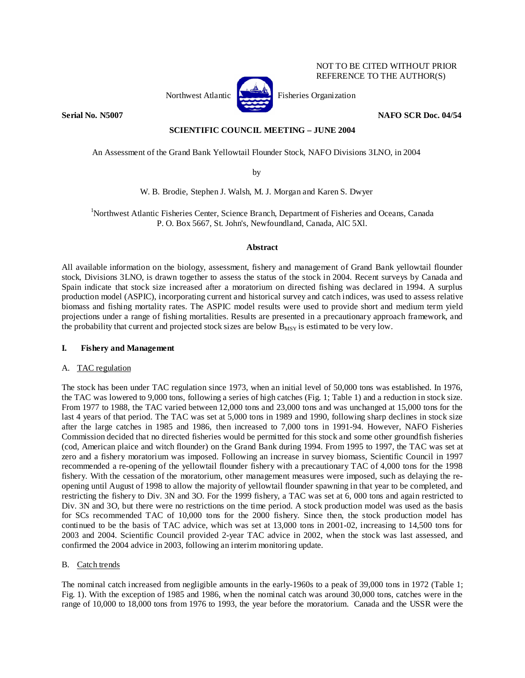

NOT TO BE CITED WITHOUT PRIOR REFERENCE TO THE AUTHOR(S)

**Serial No. N5007 NAFO SCR Doc. 04/54 NAFO SCR Doc. 04/54** 

## **SCIENTIFIC COUNCIL MEETING – JUNE 2004**

An Assessment of the Grand Bank Yellowtail Flounder Stock, NAFO Divisions 3LNO, in 2004

by

W. B. Brodie, Stephen J. Walsh, M. J. Morgan and Karen S. Dwyer

1 Northwest Atlantic Fisheries Center, Science Branch, Department of Fisheries and Oceans, Canada P. O. Box 5667, St. John's, Newfoundland, Canada, AlC 5Xl.

## **Abstract**

All available information on the biology, assessment, fishery and management of Grand Bank yellowtail flounder stock, Divisions 3LNO, is drawn together to assess the status of the stock in 2004. Recent surveys by Canada and Spain indicate that stock size increased after a moratorium on directed fishing was declared in 1994. A surplus production model (ASPIC), incorporating current and historical survey and catch indices, was used to assess relative biomass and fishing mortality rates. The ASPIC model results were used to provide short and medium term yield projections under a range of fishing mortalities. Results are presented in a precautionary approach framework, and the probability that current and projected stock sizes are below  $B_{MSY}$  is estimated to be very low.

## **I. Fishery and Management**

## A. TAC regulation

The stock has been under TAC regulation since 1973, when an initial level of 50,000 tons was established. In 1976, the TAC was lowered to 9,000 tons, following a series of high catches (Fig. 1; Table 1) and a reduction in stock size. From 1977 to 1988, the TAC varied between 12,000 tons and 23,000 tons and was unchanged at 15,000 tons for the last 4 years of that period. The TAC was set at 5,000 tons in 1989 and 1990, following sharp declines in stock size after the large catches in 1985 and 1986, then increased to 7,000 tons in 1991-94. However, NAFO Fisheries Commission decided that no directed fisheries would be permitted for this stock and some other groundfish fisheries (cod, American plaice and witch flounder) on the Grand Bank during 1994. From 1995 to 1997, the TAC was set at zero and a fishery moratorium was imposed. Following an increase in survey biomass, Scientific Council in 1997 recommended a re-opening of the yellowtail flounder fishery with a precautionary TAC of 4,000 tons for the 1998 fishery. With the cessation of the moratorium, other management measures were imposed, such as delaying the reopening until August of 1998 to allow the majority of yellowtail flounder spawning in that year to be completed, and restricting the fishery to Div. 3N and 3O. For the 1999 fishery, a TAC was set at 6, 000 tons and again restricted to Div. 3N and 3O, but there were no restrictions on the time period. A stock production model was used as the basis for SCs recommended TAC of 10,000 tons for the 2000 fishery. Since then, the stock production model has continued to be the basis of TAC advice, which was set at 13,000 tons in 2001-02, increasing to 14,500 tons for 2003 and 2004. Scientific Council provided 2-year TAC advice in 2002, when the stock was last assessed, and confirmed the 2004 advice in 2003, following an interim monitoring update.

## B. Catch trends

The nominal catch increased from negligible amounts in the early-1960s to a peak of 39,000 tons in 1972 (Table 1; Fig. 1). With the exception of 1985 and 1986, when the nominal catch was around 30,000 tons, catches were in the range of 10,000 to 18,000 tons from 1976 to 1993, the year before the moratorium. Canada and the USSR were the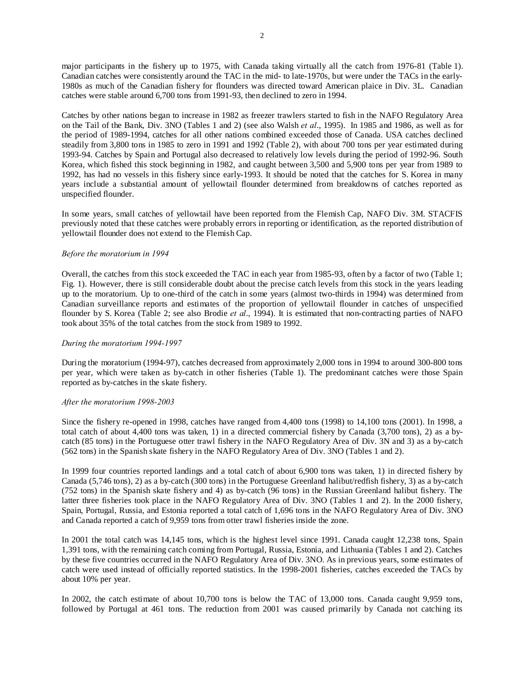major participants in the fishery up to 1975, with Canada taking virtually all the catch from 1976-81 (Table 1). Canadian catches were consistently around the TAC in the mid- to late-1970s, but were under the TACs in the early-1980s as much of the Canadian fishery for flounders was directed toward American plaice in Div. 3L. Canadian catches were stable around 6,700 tons from 1991-93, then declined to zero in 1994.

Catches by other nations began to increase in 1982 as freezer trawlers started to fish in the NAFO Regulatory Area on the Tail of the Bank, Div. 3NO (Tables 1 and 2) (see also Walsh *et al*., 1995). In 1985 and 1986, as well as for the period of 1989-1994, catches for all other nations combined exceeded those of Canada. USA catches declined steadily from 3,800 tons in 1985 to zero in 1991 and 1992 (Table 2), with about 700 tons per year estimated during 1993-94. Catches by Spain and Portugal also decreased to relatively low levels during the period of 1992-96. South Korea, which fished this stock beginning in 1982, and caught between 3,500 and 5,900 tons per year from 1989 to 1992, has had no vessels in this fishery since early-1993. It should be noted that the catches for S. Korea in many years include a substantial amount of yellowtail flounder determined from breakdowns of catches reported as unspecified flounder.

In some years, small catches of yellowtail have been reported from the Flemish Cap, NAFO Div. 3M. STACFIS previously noted that these catches were probably errors in reporting or identification, as the reported distribution of yellowtail flounder does not extend to the Flemish Cap.

## *Before the moratorium in 1994*

Overall, the catches from this stock exceeded the TAC in each year from 1985-93, often by a factor of two (Table 1; Fig. 1). However, there is still considerable doubt about the precise catch levels from this stock in the years leading up to the moratorium. Up to one-third of the catch in some years (almost two-thirds in 1994) was determined from Canadian surveillance reports and estimates of the proportion of yellowtail flounder in catches of unspecified flounder by S. Korea (Table 2; see also Brodie *et al*., 1994). It is estimated that non-contracting parties of NAFO took about 35% of the total catches from the stock from 1989 to 1992.

## *During the moratorium 1994-1997*

During the moratorium (1994-97), catches decreased from approximately 2,000 tons in 1994 to around 300-800 tons per year, which were taken as by-catch in other fisheries (Table 1). The predominant catches were those Spain reported as by-catches in the skate fishery.

## *After the moratorium 1998-2003*

Since the fishery re-opened in 1998, catches have ranged from 4,400 tons (1998) to 14,100 tons (2001). In 1998, a total catch of about 4,400 tons was taken, 1) in a directed commercial fishery by Canada (3,700 tons), 2) as a bycatch (85 tons) in the Portuguese otter trawl fishery in the NAFO Regulatory Area of Div. 3N and 3) as a by-catch (562 tons) in the Spanish skate fishery in the NAFO Regulatory Area of Div. 3NO (Tables 1 and 2).

In 1999 four countries reported landings and a total catch of about 6,900 tons was taken, 1) in directed fishery by Canada (5,746 tons), 2) as a by-catch (300 tons) in the Portuguese Greenland halibut/redfish fishery, 3) as a by-catch (752 tons) in the Spanish skate fishery and 4) as by-catch (96 tons) in the Russian Greenland halibut fishery. The latter three fisheries took place in the NAFO Regulatory Area of Div. 3NO (Tables 1 and 2). In the 2000 fishery, Spain, Portugal, Russia, and Estonia reported a total catch of 1,696 tons in the NAFO Regulatory Area of Div. 3NO and Canada reported a catch of 9,959 tons from otter trawl fisheries inside the zone.

In 2001 the total catch was 14,145 tons, which is the highest level since 1991. Canada caught 12,238 tons, Spain 1,391 tons, with the remaining catch coming from Portugal, Russia, Estonia, and Lithuania (Tables 1 and 2). Catches by these five countries occurred in the NAFO Regulatory Area of Div. 3NO. As in previous years, some estimates of catch were used instead of officially reported statistics. In the 1998-2001 fisheries, catches exceeded the TACs by about 10% per year.

In 2002, the catch estimate of about 10,700 tons is below the TAC of 13,000 tons. Canada caught 9,959 tons, followed by Portugal at 461 tons. The reduction from 2001 was caused primarily by Canada not catching its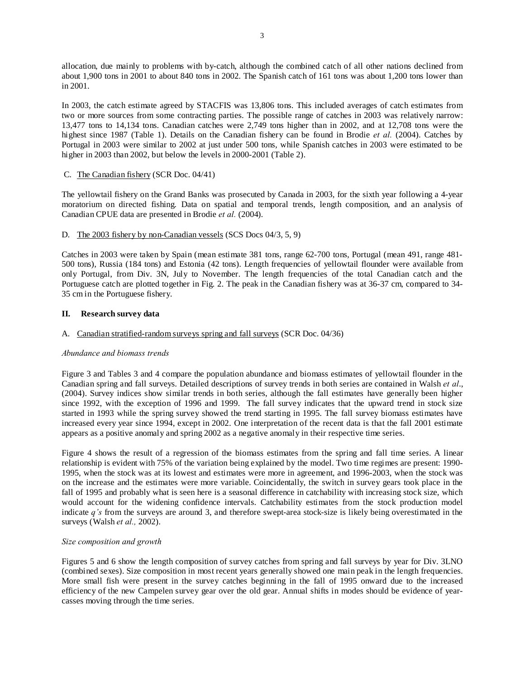allocation, due mainly to problems with by-catch, although the combined catch of all other nations declined from about 1,900 tons in 2001 to about 840 tons in 2002. The Spanish catch of 161 tons was about 1,200 tons lower than in 2001.

In 2003, the catch estimate agreed by STACFIS was 13,806 tons. This included averages of catch estimates from two or more sources from some contracting parties. The possible range of catches in 2003 was relatively narrow: 13,477 tons to 14,134 tons. Canadian catches were 2,749 tons higher than in 2002, and at 12,708 tons were the highest since 1987 (Table 1). Details on the Canadian fishery can be found in Brodie *et al.* (2004). Catches by Portugal in 2003 were similar to 2002 at just under 500 tons, while Spanish catches in 2003 were estimated to be higher in 2003 than 2002, but below the levels in 2000-2001 (Table 2).

C. The Canadian fishery (SCR Doc. 04/41)

The yellowtail fishery on the Grand Banks was prosecuted by Canada in 2003, for the sixth year following a 4-year moratorium on directed fishing. Data on spatial and temporal trends, length composition, and an analysis of Canadian CPUE data are presented in Brodie *et al.* (2004).

## D. The 2003 fishery by non-Canadian vessels (SCS Docs 04/3, 5, 9)

Catches in 2003 were taken by Spain (mean estimate 381 tons, range 62-700 tons, Portugal (mean 491, range 481- 500 tons), Russia (184 tons) and Estonia (42 tons). Length frequencies of yellowtail flounder were available from only Portugal, from Div. 3N, July to November. The length frequencies of the total Canadian catch and the Portuguese catch are plotted together in Fig. 2. The peak in the Canadian fishery was at 36-37 cm, compared to 34- 35 cm in the Portuguese fishery.

## **II. Research survey data**

## A. Canadian stratified-random surveys spring and fall surveys (SCR Doc. 04/36)

## *Abundance and biomass trends*

Figure 3 and Tables 3 and 4 compare the population abundance and biomass estimates of yellowtail flounder in the Canadian spring and fall surveys. Detailed descriptions of survey trends in both series are contained in Walsh *et al*., (2004). Survey indices show similar trends in both series, although the fall estimates have generally been higher since 1992, with the exception of 1996 and 1999. The fall survey indicates that the upward trend in stock size started in 1993 while the spring survey showed the trend starting in 1995. The fall survey biomass estimates have increased every year since 1994, except in 2002. One interpretation of the recent data is that the fall 2001 estimate appears as a positive anomaly and spring 2002 as a negative anomaly in their respective time series.

Figure 4 shows the result of a regression of the biomass estimates from the spring and fall time series. A linear relationship is evident with 75% of the variation being explained by the model. Two time regimes are present: 1990- 1995, when the stock was at its lowest and estimates were more in agreement, and 1996-2003, when the stock was on the increase and the estimates were more variable. Coincidentally, the switch in survey gears took place in the fall of 1995 and probably what is seen here is a seasonal difference in catchability with increasing stock size, which would account for the widening confidence intervals. Catchability estimates from the stock production model indicate *q's* from the surveys are around 3, and therefore swept-area stock-size is likely being overestimated in the surveys (Walsh *et al.,* 2002).

## *Size composition and growth*

Figures 5 and 6 show the length composition of survey catches from spring and fall surveys by year for Div. 3LNO (combined sexes). Size composition in most recent years generally showed one main peak in the length frequencies. More small fish were present in the survey catches beginning in the fall of 1995 onward due to the increased efficiency of the new Campelen survey gear over the old gear. Annual shifts in modes should be evidence of yearcasses moving through the time series.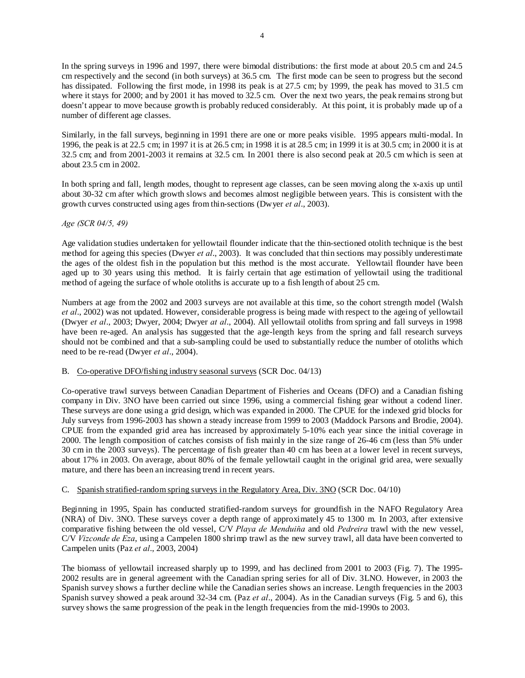In the spring surveys in 1996 and 1997, there were bimodal distributions: the first mode at about 20.5 cm and 24.5 cm respectively and the second (in both surveys) at 36.5 cm. The first mode can be seen to progress but the second has dissipated. Following the first mode, in 1998 its peak is at 27.5 cm; by 1999, the peak has moved to 31.5 cm where it stays for 2000; and by 2001 it has moved to  $32.5$  cm. Over the next two years, the peak remains strong but doesn't appear to move because growth is probably reduced considerably. At this point, it is probably made up of a number of different age classes.

Similarly, in the fall surveys, beginning in 1991 there are one or more peaks visible. 1995 appears multi-modal. In 1996, the peak is at 22.5 cm; in 1997 it is at 26.5 cm; in 1998 it is at 28.5 cm; in 1999 it is at 30.5 cm; in 2000 it is at 32.5 cm; and from 2001-2003 it remains at 32.5 cm. In 2001 there is also second peak at 20.5 cm which is seen at about 23.5 cm in 2002.

In both spring and fall, length modes, thought to represent age classes, can be seen moving along the x-axis up until about 30-32 cm after which growth slows and becomes almost negligible between years. This is consistent with the growth curves constructed using ages from thin-sections (Dwyer *et al*., 2003).

## *Age (SCR 04/5, 49)*

Age validation studies undertaken for yellowtail flounder indicate that the thin-sectioned otolith technique is the best method for ageing this species (Dwyer *et al*., 2003). It was concluded that thin sections may possibly underestimate the ages of the oldest fish in the population but this method is the most accurate. Yellowtail flounder have been aged up to 30 years using this method. It is fairly certain that age estimation of yellowtail using the traditional method of ageing the surface of whole otoliths is accurate up to a fish length of about 25 cm.

Numbers at age from the 2002 and 2003 surveys are not available at this time, so the cohort strength model (Walsh *et al*., 2002) was not updated. However, considerable progress is being made with respect to the ageing of yellowtail (Dwyer *et al*., 2003; Dwyer, 2004; Dwyer *at al*., 2004). All yellowtail otoliths from spring and fall surveys in 1998 have been re-aged. An analysis has suggested that the age-length keys from the spring and fall research surveys should not be combined and that a sub-sampling could be used to substantially reduce the number of otoliths which need to be re-read (Dwyer *et al*., 2004).

## B. Co-operative DFO/fishing industry seasonal surveys (SCR Doc. 04/13)

Co-operative trawl surveys between Canadian Department of Fisheries and Oceans (DFO) and a Canadian fishing company in Div. 3NO have been carried out since 1996, using a commercial fishing gear without a codend liner. These surveys are done using a grid design, which was expanded in 2000. The CPUE for the indexed grid blocks for July surveys from 1996-2003 has shown a steady increase from 1999 to 2003 (Maddock Parsons and Brodie, 2004). CPUE from the expanded grid area has increased by approximately 5-10% each year since the initial coverage in 2000. The length composition of catches consists of fish mainly in the size range of 26-46 cm (less than 5% under 30 cm in the 2003 surveys). The percentage of fish greater than 40 cm has been at a lower level in recent surveys, about 17% in 2003. On average, about 80% of the female yellowtail caught in the original grid area, were sexually mature, and there has been an increasing trend in recent years.

## C. Spanish stratified-random spring surveys in the Regulatory Area, Div. 3NO (SCR Doc. 04/10)

Beginning in 1995, Spain has conducted stratified-random surveys for groundfish in the NAFO Regulatory Area (NRA) of Div. 3NO. These surveys cover a depth range of approximately 45 to 1300 m. In 2003, after extensive comparative fishing between the old vessel, C/V *Playa de Menduiňa* and old *Pedreira* trawl with the new vessel, C/V *Vizconde de Eza*, using a Campelen 1800 shrimp trawl as the new survey trawl, all data have been converted to Campelen units (Paz *et al*., 2003, 2004)

The biomass of yellowtail increased sharply up to 1999, and has declined from 2001 to 2003 (Fig. 7). The 1995- 2002 results are in general agreement with the Canadian spring series for all of Div. 3LNO. However, in 2003 the Spanish survey shows a further decline while the Canadian series shows an increase. Length frequencies in the 2003 Spanish survey showed a peak around 32-34 cm. (Paz *et al*., 2004). As in the Canadian surveys (Fig. 5 and 6), this survey shows the same progression of the peak in the length frequencies from the mid-1990s to 2003.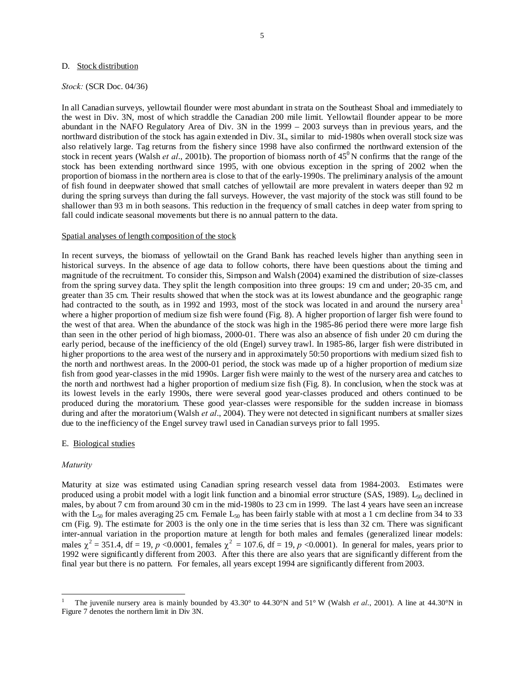#### D. Stock distribution

#### *Stock:* (SCR Doc. 04/36)

In all Canadian surveys, yellowtail flounder were most abundant in strata on the Southeast Shoal and immediately to the west in Div. 3N, most of which straddle the Canadian 200 mile limit. Yellowtail flounder appear to be more abundant in the NAFO Regulatory Area of Div. 3N in the 1999 – 2003 surveys than in previous years, and the northward distribution of the stock has again extended in Div. 3L, similar to mid-1980s when overall stock size was also relatively large. Tag returns from the fishery since 1998 have also confirmed the northward extension of the stock in recent years (Walsh *et al.*, 2001b). The proportion of biomass north of  $45^{\circ}$ N confirms that the range of the stock has been extending northward since 1995, with one obvious exception in the spring of 2002 when the proportion of biomass in the northern area is close to that of the early-1990s. The preliminary analysis of the amount of fish found in deepwater showed that small catches of yellowtail are more prevalent in waters deeper than 92 m during the spring surveys than during the fall surveys. However, the vast majority of the stock was still found to be shallower than 93 m in both seasons. This reduction in the frequency of small catches in deep water from spring to fall could indicate seasonal movements but there is no annual pattern to the data.

#### Spatial analyses of length composition of the stock

In recent surveys, the biomass of yellowtail on the Grand Bank has reached levels higher than anything seen in historical surveys. In the absence of age data to follow cohorts, there have been questions about the timing and magnitude of the recruitment. To consider this, Simpson and Walsh (2004) examined the distribution of size-classes from the spring survey data. They split the length composition into three groups: 19 cm and under; 20-35 cm, and greater than 35 cm. Their results showed that when the stock was at its lowest abundance and the geographic range had contracted to the south, as in 1992 and 1993, most of the stock was located in and around the nursery area<sup>1</sup> where a higher proportion of medium size fish were found (Fig. 8). A higher proportion of larger fish were found to the west of that area. When the abundance of the stock was high in the 1985-86 period there were more large fish than seen in the other period of high biomass, 2000-01. There was also an absence of fish under 20 cm during the early period, because of the inefficiency of the old (Engel) survey trawl. In 1985-86, larger fish were distributed in higher proportions to the area west of the nursery and in approximately 50:50 proportions with medium sized fish to the north and northwest areas. In the 2000-01 period, the stock was made up of a higher proportion of medium size fish from good year-classes in the mid 1990s. Larger fish were mainly to the west of the nursery area and catches to the north and northwest had a higher proportion of medium size fish (Fig. 8). In conclusion, when the stock was at its lowest levels in the early 1990s, there were several good year-classes produced and others continued to be produced during the moratorium. These good year-classes were responsible for the sudden increase in biomass during and after the moratorium (Walsh *et al*., 2004). They were not detected in significant numbers at smaller sizes due to the inefficiency of the Engel survey trawl used in Canadian surveys prior to fall 1995.

#### E. Biological studies

#### *Maturity*

 $\overline{\phantom{a}}$ 

Maturity at size was estimated using Canadian spring research vessel data from 1984-2003. Estimates were produced using a probit model with a logit link function and a binomial error structure (SAS, 1989).  $L_{50}$  declined in males, by about 7 cm from around 30 cm in the mid-1980s to 23 cm in 1999. The last 4 years have seen an increase with the  $L_{50}$  for males averaging 25 cm. Female  $L_{50}$  has been fairly stable with at most a 1 cm decline from 34 to 33 cm (Fig. 9). The estimate for 2003 is the only one in the time series that is less than 32 cm. There was significant inter-annual variation in the proportion mature at length for both males and females (generalized linear models: males  $\chi^2 = 351.4$ , df = 19, *p* <0.0001, females  $\chi^2 = 107.6$ , df = 19, *p* <0.0001). In general for males, years prior to 1992 were significantly different from 2003. After this there are also years that are significantly different from the final year but there is no pattern. For females, all years except 1994 are significantly different from 2003.

<sup>1</sup> The juvenile nursery area is mainly bounded by 43.30° to 44.30°N and 51° W (Walsh *et al*., 2001). A line at 44.30°N in Figure 7 denotes the northern limit in Div 3N.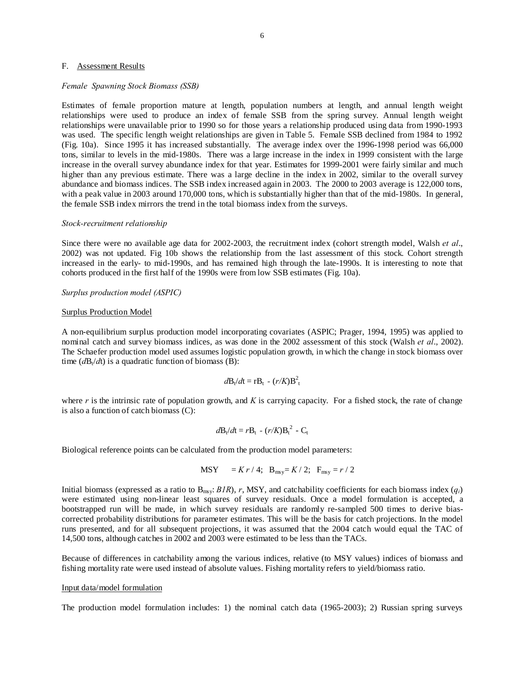### F. Assessment Results

#### *Female Spawning Stock Biomass (SSB)*

Estimates of female proportion mature at length, population numbers at length, and annual length weight relationships were used to produce an index of female SSB from the spring survey. Annual length weight relationships were unavailable prior to 1990 so for those years a relationship produced using data from 1990-1993 was used. The specific length weight relationships are given in Table 5. Female SSB declined from 1984 to 1992 (Fig. 10a). Since 1995 it has increased substantially. The average index over the 1996-1998 period was 66,000 tons, similar to levels in the mid-1980s. There was a large increase in the index in 1999 consistent with the large increase in the overall survey abundance index for that year. Estimates for 1999-2001 were fairly similar and much higher than any previous estimate. There was a large decline in the index in 2002, similar to the overall survey abundance and biomass indices. The SSB index increased again in 2003. The 2000 to 2003 average is 122,000 tons, with a peak value in 2003 around 170,000 tons, which is substantially higher than that of the mid-1980s. In general, the female SSB index mirrors the trend in the total biomass index from the surveys.

#### *Stock-recruitment relationship*

Since there were no available age data for 2002-2003, the recruitment index (cohort strength model, Walsh *et al*., 2002) was not updated. Fig 10b shows the relationship from the last assessment of this stock. Cohort strength increased in the early- to mid-1990s, and has remained high through the late-1990s. It is interesting to note that cohorts produced in the first half of the 1990s were from low SSB estimates (Fig. 10a).

## *Surplus production model (ASPIC)*

#### Surplus Production Model

A non-equilibrium surplus production model incorporating covariates (ASPIC; Prager, 1994, 1995) was applied to nominal catch and survey biomass indices, as was done in the 2002 assessment of this stock (Walsh *et al*., 2002). The Schaefer production model used assumes logistic population growth, in which the change in stock biomass over time  $(dB_t/dt)$  is a quadratic function of biomass (B):

$$
d\mathbf{B}_t/d\mathbf{t} = \mathbf{r} \mathbf{B}_t - (r/K)\mathbf{B}_t^2
$$

where *r* is the intrinsic rate of population growth, and *K* is carrying capacity. For a fished stock, the rate of change is also a function of catch biomass (C):

$$
d\mathbf{B}_t/d\mathbf{t} = r\mathbf{B}_t - (r/K)\mathbf{B}_t^2 - \mathbf{C}_t
$$

Biological reference points can be calculated from the production model parameters:

$$
MSY = Kr / 4; B_{msy} = K / 2; F_{msy} = r / 2
$$

Initial biomass (expressed as a ratio to  $B_{\text{msy}}$ : *B1R*), *r*, MSY, and catchability coefficients for each biomass index ( $q_i$ ) were estimated using non-linear least squares of survey residuals. Once a model formulation is accepted, a bootstrapped run will be made, in which survey residuals are randomly re-sampled 500 times to derive biascorrected probability distributions for parameter estimates. This will be the basis for catch projections. In the model runs presented, and for all subsequent projections, it was assumed that the 2004 catch would equal the TAC of 14,500 tons, although catches in 2002 and 2003 were estimated to be less than the TACs.

Because of differences in catchability among the various indices, relative (to MSY values) indices of biomass and fishing mortality rate were used instead of absolute values. Fishing mortality refers to yield/biomass ratio.

### Input data/model formulation

The production model formulation includes: 1) the nominal catch data (1965-2003); 2) Russian spring surveys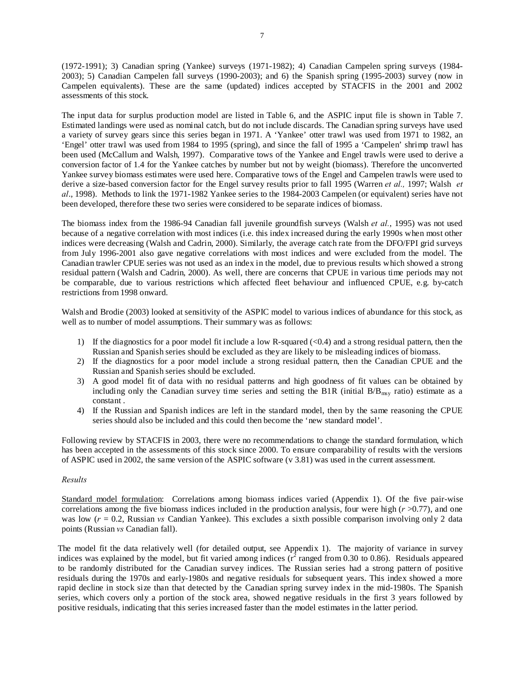(1972-1991); 3) Canadian spring (Yankee) surveys (1971-1982); 4) Canadian Campelen spring surveys (1984- 2003); 5) Canadian Campelen fall surveys (1990-2003); and 6) the Spanish spring (1995-2003) survey (now in Campelen equivalents). These are the same (updated) indices accepted by STACFIS in the 2001 and 2002 assessments of this stock.

The input data for surplus production model are listed in Table 6, and the ASPIC input file is shown in Table 7. Estimated landings were used as nominal catch, but do not include discards. The Canadian spring surveys have used a variety of survey gears since this series began in 1971. A 'Yankee' otter trawl was used from 1971 to 1982, an 'Engel' otter trawl was used from 1984 to 1995 (spring), and since the fall of 1995 a 'Campelen' shrimp trawl has been used (McCallum and Walsh, 1997). Comparative tows of the Yankee and Engel trawls were used to derive a conversion factor of 1.4 for the Yankee catches by number but not by weight (biomass). Therefore the unconverted Yankee survey biomass estimates were used here. Comparative tows of the Engel and Campelen trawls were used to derive a size-based conversion factor for the Engel survey results prior to fall 1995 (Warren *et al.,* 1997; Walsh *et al*., 1998). Methods to link the 1971-1982 Yankee series to the 1984-2003 Campelen (or equivalent) series have not been developed, therefore these two series were considered to be separate indices of biomass.

The biomass index from the 1986-94 Canadian fall juvenile groundfish surveys (Walsh *et al.*, 1995) was not used because of a negative correlation with most indices (i.e. this index increased during the early 1990s when most other indices were decreasing (Walsh and Cadrin, 2000). Similarly, the average catch rate from the DFO/FPI grid surveys from July 1996-2001 also gave negative correlations with most indices and were excluded from the model. The Canadian trawler CPUE series was not used as an index in the model, due to previous results which showed a strong residual pattern (Walsh and Cadrin, 2000). As well, there are concerns that CPUE in various time periods may not be comparable, due to various restrictions which affected fleet behaviour and influenced CPUE, e.g. by-catch restrictions from 1998 onward.

Walsh and Brodie (2003) looked at sensitivity of the ASPIC model to various indices of abundance for this stock, as well as to number of model assumptions. Their summary was as follows:

- 1) If the diagnostics for a poor model fit include a low R-squared (<0.4) and a strong residual pattern, then the Russian and Spanish series should be excluded as they are likely to be misleading indices of biomass.
- 2) If the diagnostics for a poor model include a strong residual pattern, then the Canadian CPUE and the Russian and Spanish series should be excluded.
- 3) A good model fit of data with no residual patterns and high goodness of fit values can be obtained by including only the Canadian survey time series and setting the B1R (initial  $B/B<sub>msy</sub>$  ratio) estimate as a constant .
- 4) If the Russian and Spanish indices are left in the standard model, then by the same reasoning the CPUE series should also be included and this could then become the 'new standard model'.

Following review by STACFIS in 2003, there were no recommendations to change the standard formulation, which has been accepted in the assessments of this stock since 2000. To ensure comparability of results with the versions of ASPIC used in 2002, the same version of the ASPIC software (v 3.81) was used in the current assessment.

## *Results*

Standard model formulation: Correlations among biomass indices varied (Appendix 1). Of the five pair-wise correlations among the five biomass indices included in the production analysis, four were high (*r* >0.77), and one was low ( $r = 0.2$ , Russian *vs* Candian Yankee). This excludes a sixth possible comparison involving only 2 data points (Russian *vs* Canadian fall).

The model fit the data relatively well (for detailed output, see Appendix 1). The majority of variance in survey indices was explained by the model, but fit varied among indices  $(r^2 \text{ ranged from } 0.30 \text{ to } 0.86)$ . Residuals appeared to be randomly distributed for the Canadian survey indices. The Russian series had a strong pattern of positive residuals during the 1970s and early-1980s and negative residuals for subsequent years. This index showed a more rapid decline in stock size than that detected by the Canadian spring survey index in the mid-1980s. The Spanish series, which covers only a portion of the stock area, showed negative residuals in the first 3 years followed by positive residuals, indicating that this series increased faster than the model estimates in the latter period.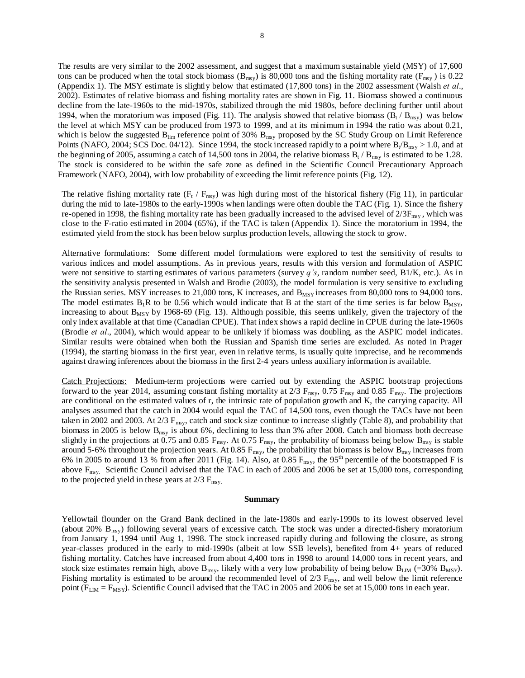The results are very similar to the 2002 assessment, and suggest that a maximum sustainable yield (MSY) of 17,600 tons can be produced when the total stock biomass ( $B_{msy}$ ) is 80,000 tons and the fishing mortality rate ( $F_{msy}$ ) is 0.22 (Appendix 1). The MSY estimate is slightly below that estimated (17,800 tons) in the 2002 assessment (Walsh *et al*., 2002). Estimates of relative biomass and fishing mortality rates are shown in Fig. 11. Biomass showed a continuous decline from the late-1960s to the mid-1970s, stabilized through the mid 1980s, before declining further until about 1994, when the moratorium was imposed (Fig. 11). The analysis showed that relative biomass  $(B_t / B_{\text{msv}})$  was below the level at which MSY can be produced from 1973 to 1999, and at its minimum in 1994 the ratio was about 0.21, which is below the suggested  $B_{\text{lim}}$  reference point of 30%  $B_{\text{msg}}$  proposed by the SC Study Group on Limit Reference Points (NAFO, 2004; SCS Doc. 04/12). Since 1994, the stock increased rapidly to a point where  $B_t/B_{msy} > 1.0$ , and at the beginning of 2005, assuming a catch of 14,500 tons in 2004, the relative biomass  $B_t / B_{msy}$  is estimated to be 1.28. The stock is considered to be within the safe zone as defined in the Scientific Council Precautionary Approach Framework (NAFO, 2004), with low probability of exceeding the limit reference points (Fig. 12).

The relative fishing mortality rate  $(F_t / F_{\text{msy}})$  was high during most of the historical fishery (Fig 11), in particular during the mid to late-1980s to the early-1990s when landings were often double the TAC (Fig. 1). Since the fishery re-opened in 1998, the fishing mortality rate has been gradually increased to the advised level of  $2/3F_{\rm msy}$ , which was close to the F-ratio estimated in 2004 (65%), if the TAC is taken (Appendix 1). Since the moratorium in 1994, the estimated yield from the stock has been below surplus production levels, allowing the stock to grow.

Alternative formulations: Some different model formulations were explored to test the sensitivity of results to various indices and model assumptions. As in previous years, results with this version and formulation of ASPIC were not sensitive to starting estimates of various parameters (survey *q's*, random number seed, B1/K, etc.). As in the sensitivity analysis presented in Walsh and Brodie (2003), the model formulation is very sensitive to excluding the Russian series. MSY increases to 21,000 tons, K increases, and  $B_{MSY}$  increases from 80,000 tons to 94,000 tons. The model estimates  $B_1R$  to be 0.56 which would indicate that B at the start of the time series is far below  $B_{MSY}$ , increasing to about  $B_{MSY}$  by 1968-69 (Fig. 13). Although possible, this seems unlikely, given the trajectory of the only index available at that time (Canadian CPUE). That index shows a rapid decline in CPUE during the late-1960s (Brodie *et al*., 2004), which would appear to be unlikely if biomass was doubling, as the ASPIC model indicates. Similar results were obtained when both the Russian and Spanish time series are excluded. As noted in Prager (1994), the starting biomass in the first year, even in relative terms, is usually quite imprecise, and he recommends against drawing inferences about the biomass in the first 2-4 years unless auxiliary information is available.

Catch Projections: Medium-term projections were carried out by extending the ASPIC bootstrap projections forward to the year 2014, assuming constant fishing mortality at  $2/3$  F<sub>msy</sub>, 0.75 F<sub>msy</sub> and 0.85 F<sub>msy</sub>. The projections are conditional on the estimated values of r, the intrinsic rate of population growth and K, the carrying capacity. All analyses assumed that the catch in 2004 would equal the TAC of 14,500 tons, even though the TACs have not been taken in 2002 and 2003. At  $2/3$   $F_{\text{msy}}$ , catch and stock size continue to increase slightly (Table 8), and probability that biomass in 2005 is below B<sub>msy</sub> is about 6%, declining to less than 3% after 2008. Catch and biomass both decrease slightly in the projections at 0.75 and 0.85  $F_{\text{msy}}$ . At 0.75  $F_{\text{msy}}$ , the probability of biomass being below  $B_{\text{msy}}$  is stable around 5-6% throughout the projection years. At 0.85  $F_{\rm msy}$ , the probability that biomass is below  $B_{\rm msy}$  increases from 6% in 2005 to around 13 % from after 2011 (Fig. 14). Also, at 0.85  $F_{\text{msy}}$ , the 95<sup>th</sup> percentile of the bootstrapped F is above  $F_{\text{msy}}$ . Scientific Council advised that the TAC in each of 2005 and 2006 be set at 15,000 tons, corresponding to the projected yield in these years at  $2/3$   $F_{\text{msy}}$ .

#### **Summary**

Yellowtail flounder on the Grand Bank declined in the late-1980s and early-1990s to its lowest observed level (about 20%  $B_{msy}$ ) following several years of excessive catch. The stock was under a directed-fishery moratorium from January 1, 1994 until Aug 1, 1998. The stock increased rapidly during and following the closure, as strong year-classes produced in the early to mid-1990s (albeit at low SSB levels), benefited from 4+ years of reduced fishing mortality. Catches have increased from about 4,400 tons in 1998 to around 14,000 tons in recent years, and stock size estimates remain high, above  $B_{\text{msy}}$ , likely with a very low probability of being below  $B_{\text{LM}}$  (=30%  $B_{\text{MSY}}$ ). Fishing mortality is estimated to be around the recommended level of  $2/3$  F<sub>msy</sub>, and well below the limit reference point ( $F_{LM} = F_{MSY}$ ). Scientific Council advised that the TAC in 2005 and 2006 be set at 15,000 tons in each year.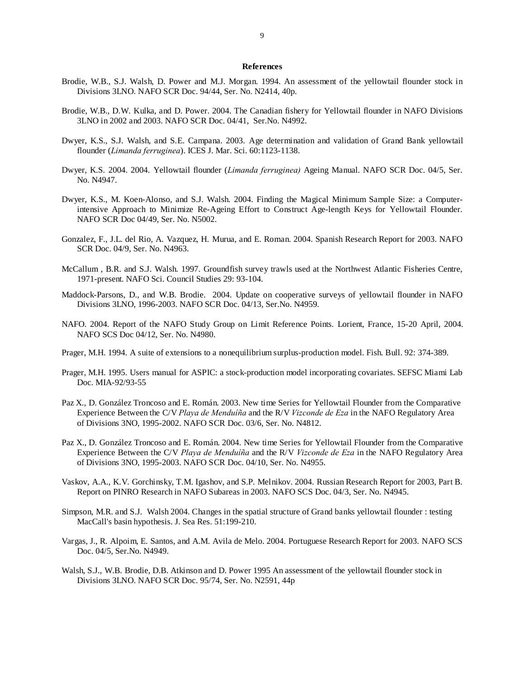#### **References**

- Brodie, W.B., S.J. Walsh, D. Power and M.J. Morgan. 1994. An assessment of the yellowtail flounder stock in Divisions 3LNO. NAFO SCR Doc. 94/44, Ser. No. N2414, 40p.
- Brodie, W.B., D.W. Kulka, and D. Power. 2004. The Canadian fishery for Yellowtail flounder in NAFO Divisions 3LNO in 2002 and 2003. NAFO SCR Doc. 04/41, Ser.No. N4992.
- Dwyer, K.S., S.J. Walsh, and S.E. Campana. 2003. Age determination and validation of Grand Bank yellowtail flounder (*Limanda ferruginea*). ICES J. Mar. Sci. 60:1123-1138.
- Dwyer, K.S. 2004. 2004. Yellowtail flounder (*Limanda ferruginea)* Ageing Manual. NAFO SCR Doc. 04/5, Ser. No. N4947.
- Dwyer, K.S., M. Koen-Alonso, and S.J. Walsh. 2004. Finding the Magical Minimum Sample Size: a Computerintensive Approach to Minimize Re-Ageing Effort to Construct Age-length Keys for Yellowtail Flounder. NAFO SCR Doc 04/49, Ser. No. N5002.
- Gonzalez, F., J.L. del Rio, A. Vazquez, H. Murua, and E. Roman. 2004. Spanish Research Report for 2003. NAFO SCR Doc. 04/9, Ser. No. N4963.
- McCallum , B.R. and S.J. Walsh. 1997. Groundfish survey trawls used at the Northwest Atlantic Fisheries Centre, 1971-present. NAFO Sci. Council Studies 29: 93-104.
- Maddock-Parsons, D., and W.B. Brodie. 2004. Update on cooperative surveys of yellowtail flounder in NAFO Divisions 3LNO, 1996-2003. NAFO SCR Doc. 04/13, Ser.No. N4959.
- NAFO. 2004. Report of the NAFO Study Group on Limit Reference Points. Lorient, France, 15-20 April, 2004. NAFO SCS Doc 04/12, Ser. No. N4980.
- Prager, M.H. 1994. A suite of extensions to a nonequilibrium surplus-production model. Fish. Bull. 92: 374-389.
- Prager, M.H. 1995. Users manual for ASPIC: a stock-production model incorporating covariates. SEFSC Miami Lab Doc. MIA-92/93-55
- Paz X., D. González Troncoso and E. Román. 2003. New time Series for Yellowtail Flounder from the Comparative Experience Between the C/V *Playa de Menduíña* and the R/V *Vizconde de Eza* in the NAFO Regulatory Area of Divisions 3NO, 1995-2002. NAFO SCR Doc. 03/6, Ser. No. N4812.
- Paz X., D. González Troncoso and E. Román. 2004. New time Series for Yellowtail Flounder from the Comparative Experience Between the C/V *Playa de Menduíña* and the R/V *Vizconde de Eza* in the NAFO Regulatory Area of Divisions 3NO, 1995-2003. NAFO SCR Doc. 04/10, Ser. No. N4955.
- Vaskov, A.A., K.V. Gorchinsky, T.M. Igashov, and S.P. Melnikov. 2004. Russian Research Report for 2003, Part B. Report on PINRO Research in NAFO Subareas in 2003. NAFO SCS Doc. 04/3, Ser. No. N4945.
- Simpson, M.R. and S.J. Walsh 2004. Changes in the spatial structure of Grand banks yellowtail flounder : testing MacCall's basin hypothesis. J. Sea Res. 51:199-210.
- Vargas, J., R. Alpoim, E. Santos, and A.M. Avila de Melo. 2004. Portuguese Research Report for 2003. NAFO SCS Doc. 04/5, Ser.No. N4949.
- Walsh, S.J., W.B. Brodie, D.B. Atkinson and D. Power 1995 An assessment of the yellowtail flounder stock in Divisions 3LNO. NAFO SCR Doc. 95/74, Ser. No. N2591, 44p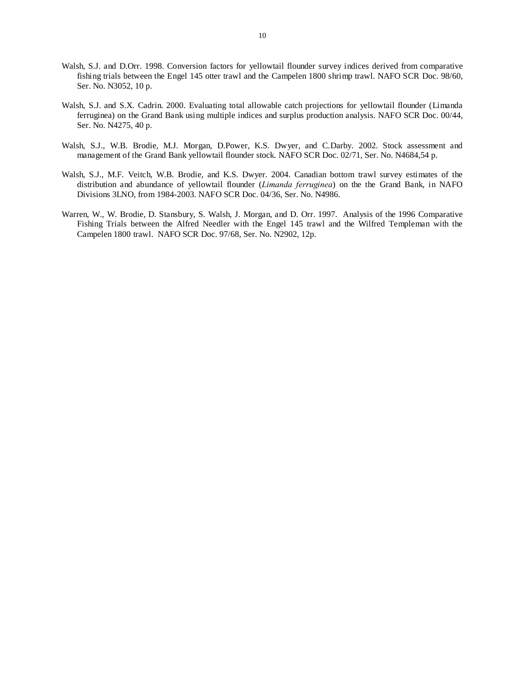- Walsh, S.J. and D.Orr. 1998. Conversion factors for yellowtail flounder survey indices derived from comparative fishing trials between the Engel 145 otter trawl and the Campelen 1800 shrimp trawl. NAFO SCR Doc. 98/60, Ser. No. N3052, 10 p.
- Walsh, S.J. and S.X. Cadrin. 2000. Evaluating total allowable catch projections for yellowtail flounder (Limanda ferruginea) on the Grand Bank using multiple indices and surplus production analysis. NAFO SCR Doc. 00/44, Ser. No. N4275, 40 p.
- Walsh, S.J., W.B. Brodie, M.J. Morgan, D.Power, K.S. Dwyer, and C.Darby. 2002. Stock assessment and management of the Grand Bank yellowtail flounder stock. NAFO SCR Doc. 02/71, Ser. No. N4684,54 p.
- Walsh, S.J., M.F. Veitch, W.B. Brodie, and K.S. Dwyer. 2004. Canadian bottom trawl survey estimates of the distribution and abundance of yellowtail flounder (*Limanda ferruginea*) on the the Grand Bank, in NAFO Divisions 3LNO, from 1984-2003. NAFO SCR Doc. 04/36, Ser. No. N4986.
- Warren, W., W. Brodie, D. Stansbury, S. Walsh, J. Morgan, and D. Orr. 1997. Analysis of the 1996 Comparative Fishing Trials between the Alfred Needler with the Engel 145 trawl and the Wilfred Templeman with the Campelen 1800 trawl. NAFO SCR Doc. 97/68, Ser. No. N2902, 12p.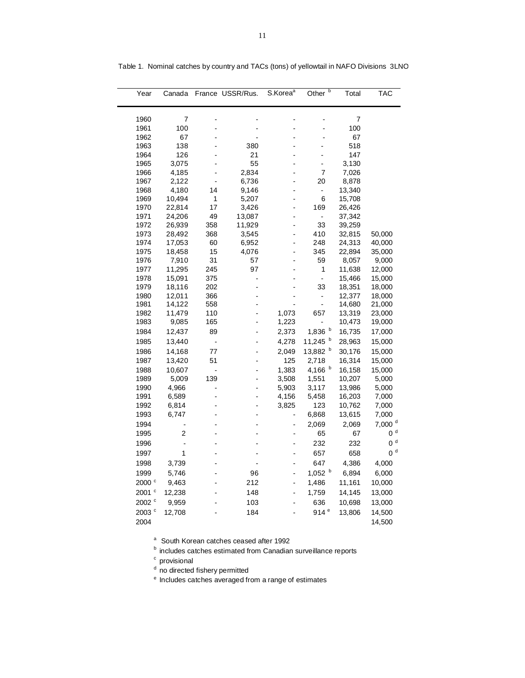| Year              | Canada           |                | France USSR/Rus.     | S.Korea <sup>a</sup> | Other $\overline{b}$     | Total            | TAC                |
|-------------------|------------------|----------------|----------------------|----------------------|--------------------------|------------------|--------------------|
| 1960              | 7                |                |                      |                      |                          | 7                |                    |
| 1961              | 100              |                |                      |                      |                          | 100              |                    |
| 1962              | 67               |                |                      |                      |                          | 67               |                    |
| 1963              | 138              |                | 380                  |                      |                          | 518              |                    |
| 1964              | 126              |                | 21                   |                      |                          | 147              |                    |
| 1965              | 3,075            |                | 55                   |                      | $\overline{a}$           | 3,130            |                    |
| 1966              | 4,185            |                | 2,834                |                      | 7                        | 7,026            |                    |
| 1967              | 2,122            | Ĭ.             | 6,736                |                      | 20                       | 8,878            |                    |
| 1968              | 4,180            | 14             | 9,146                | L,                   | $\overline{\phantom{0}}$ | 13,340           |                    |
| 1969              | 10,494           | 1              | 5,207                | $\overline{a}$       | 6                        | 15,708           |                    |
| 1970              | 22,814           | 17             | 3,426                | $\overline{a}$       | 169                      | 26,426           |                    |
| 1971              | 24,206           | 49             | 13,087               | $\overline{a}$       | $\overline{\phantom{a}}$ | 37,342           |                    |
| 1972              | 26,939           | 358            | 11,929               |                      | 33                       | 39,259           |                    |
| 1973              | 28,492           | 368            | 3,545                | $\overline{a}$       | 410                      | 32,815           | 50,000             |
| 1974              | 17,053           | 60             | 6,952                | $\overline{a}$       | 248                      | 24,313           | 40,000             |
| 1975              | 18,458           | 15             | 4,076                | $\overline{a}$       | 345                      | 22,894           | 35,000             |
| 1976              | 7,910            | 31             | 57                   |                      | 59                       | 8,057            | 9,000              |
| 1977              | 11,295           | 245            | 97<br>$\overline{a}$ |                      | 1                        | 11,638           | 12,000             |
| 1978<br>1979      | 15,091<br>18,116 | 375<br>202     |                      |                      | $\overline{a}$<br>33     | 15,466<br>18,351 | 15,000<br>18,000   |
| 1980              | 12,011           | 366            |                      |                      | -                        | 12,377           | 18,000             |
| 1981              | 14,122           | 558            |                      |                      | $\frac{1}{2}$            | 14,680           | 21,000             |
| 1982              | 11,479           | 110            |                      | 1,073                | 657                      | 13,319           | 23,000             |
| 1983              | 9,085            | 165            | $\overline{a}$       | 1,223                | $\overline{a}$           | 10,473           | 19,000             |
| 1984              | 12,437           | 89             |                      | 2,373                | 1,836 b                  | 16,735           | 17,000             |
| 1985              | 13,440           | -              | $\overline{a}$       | 4,278                | 11,245 $b$               | 28,963           | 15,000             |
| 1986              | 14,168           | 77             | $\overline{a}$       | 2,049                | 13,882 b                 | 30,176           | 15,000             |
| 1987              | 13,420           | 51             |                      | 125                  | 2,718                    | 16,314           | 15,000             |
| 1988              | 10,607           | $\overline{a}$ |                      | 1,383                | 4,166 $b$                | 16,158           | 15,000             |
| 1989              | 5,009            | 139            |                      | 3,508                | 1,551                    | 10,207           | 5,000              |
| 1990              | 4,966            |                | -                    | 5,903                | 3,117                    | 13,986           | 5,000              |
| 1991              | 6,589            |                |                      | 4,156                | 5,458                    | 16,203           | 7,000              |
| 1992              | 6,814            |                | -                    | 3,825                | 123                      | 10,762           | 7,000              |
| 1993              | 6,747            |                |                      | ÷                    | 6,868                    | 13,615           | 7,000              |
| 1994              |                  |                |                      | $\overline{a}$       | 2,069                    | 2,069            | 7,000 <sup>d</sup> |
| 1995              | 2                |                |                      |                      | 65                       | 67               | 0 <sup>d</sup>     |
| 1996              | -                |                |                      | $\overline{a}$       | 232                      | 232              | 0 <sup>d</sup>     |
| 1997              | 1                |                |                      | L,                   | 657                      | 658              | 0 <sup>d</sup>     |
| 1998              | 3,739            |                |                      | $\overline{a}$       | 647                      | 4,386            | 4,000              |
| 1999              | 5,746            |                | 96                   |                      | $1,052$ b                | 6,894            | 6,000              |
| 2000 <sup>c</sup> | 9,463            |                | 212                  | L,                   | 1,486                    | 11,161           | 10,000             |
| 2001 °            | 12,238           |                | 148                  | -                    |                          | 14,145           |                    |
| 2002 °            |                  |                | 103                  |                      | 1,759<br>636             |                  | 13,000             |
|                   | 9,959            |                | 184                  | $\overline{a}$       | 914 $e$                  | 10,698           | 13,000             |
| 2003 <sup>c</sup> | 12,708           |                |                      |                      |                          | 13,806           | 14,500             |
| 2004              |                  |                |                      |                      |                          |                  | 14,500             |

Table 1. Nominal catches by country and TACs (tons) of yellowtail in NAFO Divisions 3LNO

a South Korean catches ceased after 1992

 $<sup>b</sup>$  includes catches estimated from Canadian surveillance reports</sup>

<sup>c</sup> provisional

<sup>d</sup> no directed fishery permitted

<sup>e</sup> Includes catches averaged from a range of estimates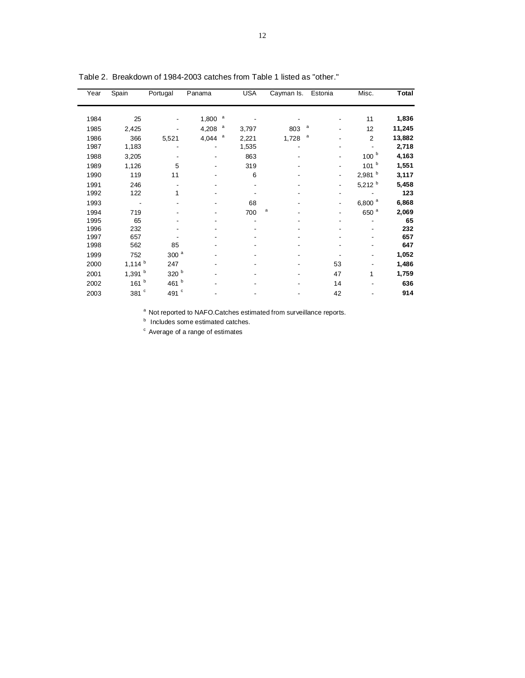| Year | Spain                | Portugal         | Panama | <b>USA</b>            | Cayman Is. Estonia |                          | Misc.                | Total  |
|------|----------------------|------------------|--------|-----------------------|--------------------|--------------------------|----------------------|--------|
| 1984 | 25                   |                  | 1,800  | a                     |                    |                          | 11                   | 1,836  |
| 1985 | 2,425                |                  | 4,208  | $\mathsf{a}$<br>3,797 | 803                | a                        | 12                   | 11,245 |
| 1986 | 366                  | 5,521            | 4,044  | a<br>2,221            | 1,728              | a                        | $\overline{2}$       | 13,882 |
| 1987 | 1,183                |                  |        | 1,535                 |                    |                          |                      | 2,718  |
| 1988 | 3,205                |                  |        | 863                   |                    |                          | 100 <sup>b</sup>     | 4,163  |
| 1989 | 1,126                | 5                |        | 319                   |                    | -                        | 101 <sup>b</sup>     | 1,551  |
| 1990 | 119                  | 11               |        | 6                     |                    | -                        | 2,981 <sup>b</sup>   | 3,117  |
| 1991 | 246                  |                  |        |                       |                    | -                        | 5,212 $b$            | 5,458  |
| 1992 | 122                  | 1                |        |                       |                    |                          |                      | 123    |
| 1993 |                      |                  |        | 68                    |                    | $\overline{\phantom{a}}$ | $6,800$ <sup>a</sup> | 6,868  |
| 1994 | 719                  |                  |        | 700                   | a                  | $\overline{a}$           | 650 <sup>a</sup>     | 2,069  |
| 1995 | 65                   |                  |        |                       |                    |                          |                      | 65     |
| 1996 | 232                  |                  |        |                       |                    |                          |                      | 232    |
| 1997 | 657                  |                  |        |                       |                    |                          |                      | 657    |
| 1998 | 562                  | 85               |        |                       |                    |                          |                      | 647    |
| 1999 | 752                  | $300$ $^{\rm a}$ |        |                       |                    |                          | ۰                    | 1,052  |
| 2000 | $1,114$ <sup>b</sup> | 247              |        |                       |                    | 53                       |                      | 1,486  |
| 2001 | 1,391 $b$            | 320 b            |        |                       |                    | 47                       | 1                    | 1,759  |
| 2002 | 161 $b$              | 461 b            |        |                       |                    | 14                       |                      | 636    |
| 2003 | 381 $^{\circ}$       | c<br>491         |        |                       |                    | 42                       |                      | 914    |

Table 2. Breakdown of 1984-2003 catches from Table 1 listed as "other."

a Not reported to NAFO.Catches estimated from surveillance reports.

**b** Includes some estimated catches.

<sup>c</sup> Average of a range of estimates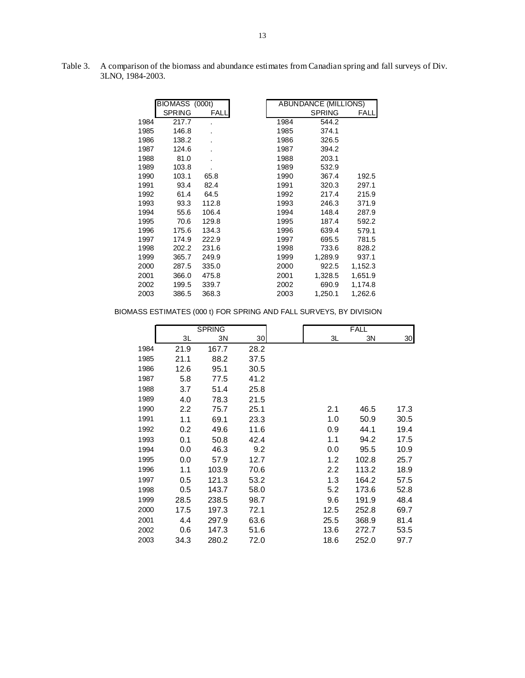|      | BIOMASS (000t) |       |      | ABUNDANCE (MILLIONS) |         |
|------|----------------|-------|------|----------------------|---------|
|      | <b>SPRING</b>  | FALL  |      | <b>SPRING</b>        | FALL    |
| 1984 | 217.7          |       | 1984 | 544.2                |         |
| 1985 | 146.8          |       | 1985 | 374.1                |         |
| 1986 | 138.2          |       | 1986 | 326.5                |         |
| 1987 | 124.6          |       | 1987 | 394.2                |         |
| 1988 | 81.0           |       | 1988 | 203.1                |         |
| 1989 | 103.8          |       | 1989 | 532.9                |         |
| 1990 | 103.1          | 65.8  | 1990 | 367.4                | 192.5   |
| 1991 | 93.4           | 82.4  | 1991 | 320.3                | 297.1   |
| 1992 | 61.4           | 64.5  | 1992 | 217.4                | 215.9   |
| 1993 | 93.3           | 112.8 | 1993 | 246.3                | 371.9   |
| 1994 | 55.6           | 106.4 | 1994 | 148.4                | 287.9   |
| 1995 | 70.6           | 129.8 | 1995 | 187.4                | 592.2   |
| 1996 | 175.6          | 134.3 | 1996 | 639.4                | 579.1   |
| 1997 | 174.9          | 222.9 | 1997 | 695.5                | 781.5   |
| 1998 | 202.2          | 231.6 | 1998 | 733.6                | 828.2   |
| 1999 | 365.7          | 249.9 | 1999 | 1,289.9              | 937.1   |
| 2000 | 287.5          | 335.0 | 2000 | 922.5                | 1,152.3 |
| 2001 | 366.0          | 475.8 | 2001 | 1,328.5              | 1,651.9 |
| 2002 | 199.5          | 339.7 | 2002 | 690.9                | 1,174.8 |
| 2003 | 386.5          | 368.3 | 2003 | 1,250.1              | 1,262.6 |

Table 3. A comparison of the biomass and abundance estimates from Canadian spring and fall surveys of Div. 3LNO, 1984-2003.

# BIOMASS ESTIMATES (000 t) FOR SPRING AND FALL SURVEYS, BY DIVISION

|      |      | <b>SPRING</b> |                 |      | <b>FALL</b> |      |
|------|------|---------------|-----------------|------|-------------|------|
|      | 3L   | 3N            | 30 <sup>2</sup> | 3L   | 3N          | 30   |
| 1984 | 21.9 | 167.7         | 28.2            |      |             |      |
| 1985 | 21.1 | 88.2          | 37.5            |      |             |      |
| 1986 | 12.6 | 95.1          | 30.5            |      |             |      |
| 1987 | 5.8  | 77.5          | 41.2            |      |             |      |
| 1988 | 3.7  | 51.4          | 25.8            |      |             |      |
| 1989 | 4.0  | 78.3          | 21.5            |      |             |      |
| 1990 | 2.2  | 75.7          | 25.1            | 2.1  | 46.5        | 17.3 |
| 1991 | 1.1  | 69.1          | 23.3            | 1.0  | 50.9        | 30.5 |
| 1992 | 0.2  | 49.6          | 11.6            | 0.9  | 44.1        | 19.4 |
| 1993 | 0.1  | 50.8          | 42.4            | 1.1  | 94.2        | 17.5 |
| 1994 | 0.0  | 46.3          | 9.2             | 0.0  | 95.5        | 10.9 |
| 1995 | 0.0  | 57.9          | 12.7            | 1.2  | 102.8       | 25.7 |
| 1996 | 1.1  | 103.9         | 70.6            | 2.2  | 113.2       | 18.9 |
| 1997 | 0.5  | 121.3         | 53.2            | 1.3  | 164.2       | 57.5 |
| 1998 | 0.5  | 143.7         | 58.0            | 5.2  | 173.6       | 52.8 |
| 1999 | 28.5 | 238.5         | 98.7            | 9.6  | 191.9       | 48.4 |
| 2000 | 17.5 | 197.3         | 72.1            | 12.5 | 252.8       | 69.7 |
| 2001 | 4.4  | 297.9         | 63.6            | 25.5 | 368.9       | 81.4 |
| 2002 | 0.6  | 147.3         | 51.6            | 13.6 | 272.7       | 53.5 |
| 2003 | 34.3 | 280.2         | 72.0            | 18.6 | 252.0       | 97.7 |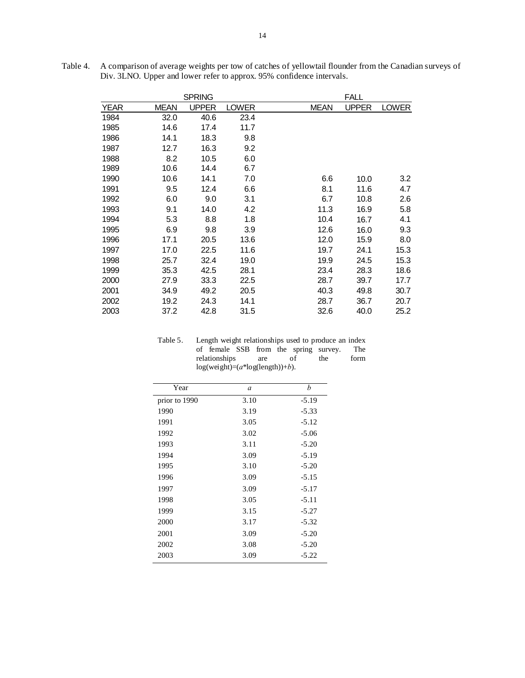|             |             | <b>SPRING</b> |              |             | FALL         |              |
|-------------|-------------|---------------|--------------|-------------|--------------|--------------|
| <b>YEAR</b> | <b>MEAN</b> | <b>UPPER</b>  | <b>LOWER</b> | <b>MEAN</b> | <b>UPPER</b> | <b>LOWER</b> |
| 1984        | 32.0        | 40.6          | 23.4         |             |              |              |
| 1985        | 14.6        | 17.4          | 11.7         |             |              |              |
| 1986        | 14.1        | 18.3          | 9.8          |             |              |              |
| 1987        | 12.7        | 16.3          | 9.2          |             |              |              |
| 1988        | 8.2         | 10.5          | 6.0          |             |              |              |
| 1989        | 10.6        | 14.4          | 6.7          |             |              |              |
| 1990        | 10.6        | 14.1          | 7.0          | 6.6         | 10.0         | 3.2          |
| 1991        | 9.5         | 12.4          | 6.6          | 8.1         | 11.6         | 4.7          |
| 1992        | 6.0         | 9.0           | 3.1          | 6.7         | 10.8         | 2.6          |
| 1993        | 9.1         | 14.0          | 4.2          | 11.3        | 16.9         | 5.8          |
| 1994        | 5.3         | 8.8           | 1.8          | 10.4        | 16.7         | 4.1          |
| 1995        | 6.9         | 9.8           | 3.9          | 12.6        | 16.0         | 9.3          |
| 1996        | 17.1        | 20.5          | 13.6         | 12.0        | 15.9         | 8.0          |
| 1997        | 17.0        | 22.5          | 11.6         | 19.7        | 24.1         | 15.3         |
| 1998        | 25.7        | 32.4          | 19.0         | 19.9        | 24.5         | 15.3         |
| 1999        | 35.3        | 42.5          | 28.1         | 23.4        | 28.3         | 18.6         |
| 2000        | 27.9        | 33.3          | 22.5         | 28.7        | 39.7         | 17.7         |
| 2001        | 34.9        | 49.2          | 20.5         | 40.3        | 49.8         | 30.7         |
| 2002        | 19.2        | 24.3          | 14.1         | 28.7        | 36.7         | 20.7         |
| 2003        | 37.2        | 42.8          | 31.5         | 32.6        | 40.0         | 25.2         |

Table 4. A comparison of average weights per tow of catches of yellowtail flounder from the Canadian surveys of Div. 3LNO. Upper and lower refer to approx. 95% confidence intervals.

| Table 5. | Length weight relationships used to produce an index |  |  |  |     |  |  |
|----------|------------------------------------------------------|--|--|--|-----|--|--|
|          | of female SSB from the spring survey.                |  |  |  | The |  |  |
|          | relationships<br>the<br>Ωf<br>are                    |  |  |  |     |  |  |
|          | $log(weight)=(a*log(length))+b).$                    |  |  |  |     |  |  |

| Year          | $\alpha$ | b       |
|---------------|----------|---------|
| prior to 1990 | 3.10     | $-5.19$ |
| 1990          | 3.19     | $-5.33$ |
| 1991          | 3.05     | $-5.12$ |
| 1992          | 3.02     | $-5.06$ |
| 1993          | 3.11     | $-5.20$ |
| 1994          | 3.09     | $-5.19$ |
| 1995          | 3.10     | $-5.20$ |
| 1996          | 3.09     | $-5.15$ |
| 1997          | 3.09     | $-5.17$ |
| 1998          | 3.05     | $-5.11$ |
| 1999          | 3.15     | $-5.27$ |
| 2000          | 3.17     | $-5.32$ |
| 2001          | 3.09     | $-5.20$ |
| 2002          | 3.08     | $-5.20$ |
| 2003          | 3.09     | $-5.22$ |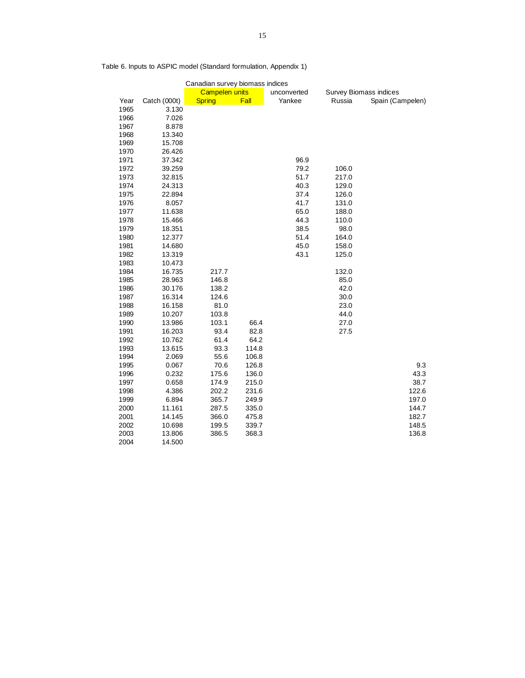|      | Canadian survey biomass indices |                       |       |             |        |                               |  |  |  |  |  |
|------|---------------------------------|-----------------------|-------|-------------|--------|-------------------------------|--|--|--|--|--|
|      |                                 | <b>Campelen units</b> |       | unconverted |        | <b>Survey Biomass indices</b> |  |  |  |  |  |
| Year | Catch (000t)                    | <b>Spring</b>         | Fall  | Yankee      | Russia | Spain (Campelen)              |  |  |  |  |  |
| 1965 | 3.130                           |                       |       |             |        |                               |  |  |  |  |  |
| 1966 | 7.026                           |                       |       |             |        |                               |  |  |  |  |  |
| 1967 | 8.878                           |                       |       |             |        |                               |  |  |  |  |  |
| 1968 | 13.340                          |                       |       |             |        |                               |  |  |  |  |  |
| 1969 | 15.708                          |                       |       |             |        |                               |  |  |  |  |  |
| 1970 | 26.426                          |                       |       |             |        |                               |  |  |  |  |  |
| 1971 | 37.342                          |                       |       | 96.9        |        |                               |  |  |  |  |  |
| 1972 | 39.259                          |                       |       | 79.2        | 106.0  |                               |  |  |  |  |  |
| 1973 | 32.815                          |                       |       | 51.7        | 217.0  |                               |  |  |  |  |  |
| 1974 | 24.313                          |                       |       | 40.3        | 129.0  |                               |  |  |  |  |  |
| 1975 | 22.894                          |                       |       | 37.4        | 126.0  |                               |  |  |  |  |  |
| 1976 | 8.057                           |                       |       | 41.7        | 131.0  |                               |  |  |  |  |  |
| 1977 | 11.638                          |                       |       | 65.0        | 188.0  |                               |  |  |  |  |  |
| 1978 | 15.466                          |                       |       | 44.3        | 110.0  |                               |  |  |  |  |  |
| 1979 | 18.351                          |                       |       | 38.5        | 98.0   |                               |  |  |  |  |  |
| 1980 | 12.377                          |                       |       | 51.4        | 164.0  |                               |  |  |  |  |  |
| 1981 | 14.680                          |                       |       | 45.0        | 158.0  |                               |  |  |  |  |  |
| 1982 | 13.319                          |                       |       | 43.1        | 125.0  |                               |  |  |  |  |  |
| 1983 | 10.473                          |                       |       |             |        |                               |  |  |  |  |  |
| 1984 | 16.735                          | 217.7                 |       |             | 132.0  |                               |  |  |  |  |  |
| 1985 | 28.963                          | 146.8                 |       |             | 85.0   |                               |  |  |  |  |  |
| 1986 | 30.176                          | 138.2                 |       |             | 42.0   |                               |  |  |  |  |  |
| 1987 | 16.314                          | 124.6                 |       |             | 30.0   |                               |  |  |  |  |  |
| 1988 | 16.158                          | 81.0                  |       |             | 23.0   |                               |  |  |  |  |  |
| 1989 | 10.207                          | 103.8                 |       |             | 44.0   |                               |  |  |  |  |  |
| 1990 | 13.986                          | 103.1                 | 66.4  |             | 27.0   |                               |  |  |  |  |  |
| 1991 | 16.203                          | 93.4                  | 82.8  |             | 27.5   |                               |  |  |  |  |  |
| 1992 | 10.762                          | 61.4                  | 64.2  |             |        |                               |  |  |  |  |  |
| 1993 | 13.615                          | 93.3                  | 114.8 |             |        |                               |  |  |  |  |  |
| 1994 | 2.069                           | 55.6                  | 106.8 |             |        |                               |  |  |  |  |  |
| 1995 | 0.067                           | 70.6                  | 126.8 |             |        | 9.3                           |  |  |  |  |  |
| 1996 | 0.232                           | 175.6                 | 136.0 |             |        | 43.3                          |  |  |  |  |  |
| 1997 | 0.658                           | 174.9                 | 215.0 |             |        | 38.7                          |  |  |  |  |  |
| 1998 | 4.386                           | 202.2                 | 231.6 |             |        | 122.6                         |  |  |  |  |  |
| 1999 | 6.894                           | 365.7                 | 249.9 |             |        | 197.0                         |  |  |  |  |  |
| 2000 | 11.161                          | 287.5                 | 335.0 |             |        | 144.7                         |  |  |  |  |  |
| 2001 | 14.145                          | 366.0                 | 475.8 |             |        | 182.7                         |  |  |  |  |  |
| 2002 | 10.698                          | 199.5                 | 339.7 |             |        | 148.5                         |  |  |  |  |  |
| 2003 | 13.806                          | 386.5                 | 368.3 |             |        | 136.8                         |  |  |  |  |  |
| 2004 | 14.500                          |                       |       |             |        |                               |  |  |  |  |  |

Table 6. Inputs to ASPIC model (Standard formulation, Appendix 1)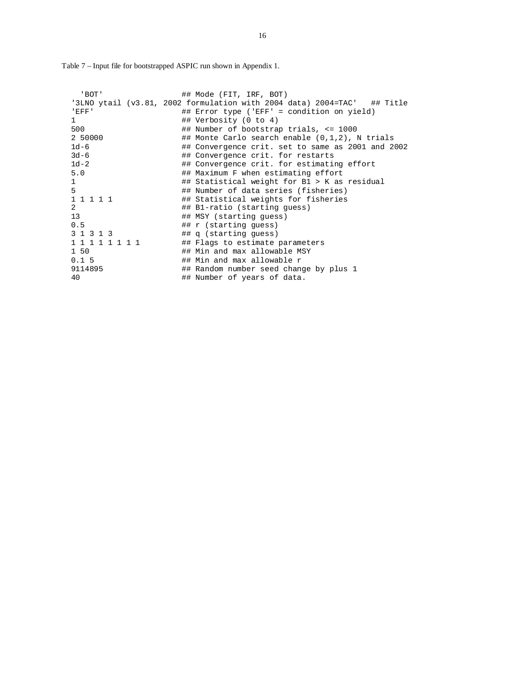Table 7 – Input file for bootstrapped ASPIC run shown in Appendix 1.

| ' BOT'          | ## Mode (FIT, IRF, BOT)                                                 |
|-----------------|-------------------------------------------------------------------------|
|                 | '3LNO ytail (v3.81, 2002 formulation with 2004 data) 2004=TAC' ## Title |
| 'EFF'           | ## Error type ('EFF' = condition on yield)                              |
| $\mathbf{1}$    | ## Verbosity (0 to 4)                                                   |
| 500             | ## Number of bootstrap trials, <= 1000                                  |
| 2 50000         | ## Monte Carlo search enable $(0,1,2)$ , N trials                       |
| $1d-6$          | ## Convergence crit. set to same as 2001 and 2002                       |
| $3d-6$          | ## Convergence crit. for restarts                                       |
| $1d-2$          | ## Convergence crit. for estimating effort                              |
| 5.0             | ## Maximum F when estimating effort                                     |
| 1               | ## Statistical weight for B1 > K as residual                            |
| 5               | ## Number of data series (fisheries)                                    |
| 1 1 1 1 1       | ## Statistical weights for fisheries                                    |
| $\overline{2}$  | ## B1-ratio (starting quess)                                            |
| 13 <sup>2</sup> | ## MSY (starting quess)                                                 |
| 0.5             | ## r (starting quess)                                                   |
| 3 1 3 1 3       | ## q (starting quess)                                                   |
| 1 1 1 1 1 1 1 1 | ## Flags to estimate parameters                                         |
| 1 50            | ## Min and max allowable MSY                                            |
| 0.15            | ## Min and max allowable r                                              |
| 9114895         | ## Random number seed change by plus 1                                  |
| 40              | ## Number of years of data.                                             |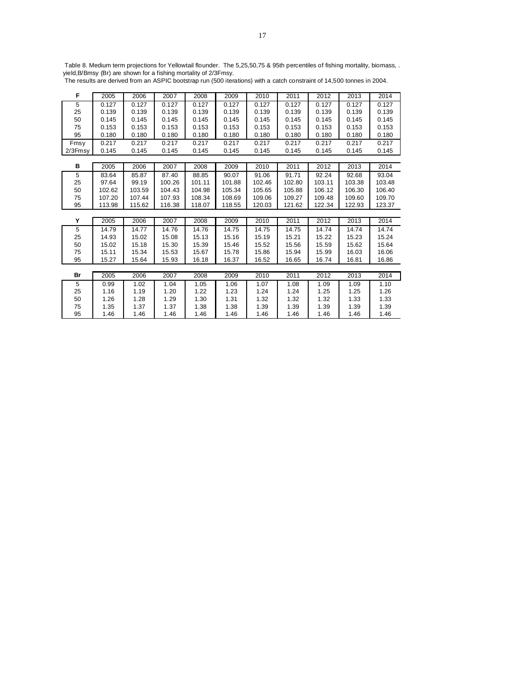Table 8. Medium term projections for Yellowtail flounder. The 5,25,50,75 & 95th percentiles of fishing mortality, biomass, . yield,B/Bmsy (Br) are shown for a fishing mortality of 2/3Fmsy.

The results are derived from an ASPIC bootstrap run (500 iterations) with a catch constraint of 14,500 tonnes in 2004.

| F       | 2005   | 2006   | 2007   | 2008   | 2009   | 2010   | 2011   | 2012   | 2013   | 2014   |
|---------|--------|--------|--------|--------|--------|--------|--------|--------|--------|--------|
| 5       | 0.127  | 0.127  | 0.127  | 0.127  | 0.127  | 0.127  | 0.127  | 0.127  | 0.127  | 0.127  |
| 25      | 0.139  | 0.139  | 0.139  | 0.139  | 0.139  | 0.139  | 0.139  | 0.139  | 0.139  | 0.139  |
| 50      | 0.145  | 0.145  | 0.145  | 0.145  | 0.145  | 0.145  | 0.145  | 0.145  | 0.145  | 0.145  |
| 75      | 0.153  | 0.153  | 0.153  | 0.153  | 0.153  | 0.153  | 0.153  | 0.153  | 0.153  | 0.153  |
| 95      | 0.180  | 0.180  | 0.180  | 0.180  | 0.180  | 0.180  | 0.180  | 0.180  | 0.180  | 0.180  |
| Fmsy    | 0.217  | 0.217  | 0.217  | 0.217  | 0.217  | 0.217  | 0.217  | 0.217  | 0.217  | 0.217  |
| 2/3Fmsy | 0.145  | 0.145  | 0.145  | 0.145  | 0.145  | 0.145  | 0.145  | 0.145  | 0.145  | 0.145  |
|         |        |        |        |        |        |        |        |        |        |        |
| в       | 2005   | 2006   | 2007   | 2008   | 2009   | 2010   | 2011   | 2012   | 2013   | 2014   |
| 5       | 83.64  | 85.87  | 87.40  | 88.85  | 90.07  | 91.06  | 91.71  | 92.24  | 92.68  | 93.04  |
| 25      | 97.64  | 99.19  | 100.26 | 101.11 | 101.88 | 102.46 | 102.80 | 103.11 | 103.38 | 103.48 |
| 50      | 102.62 | 103.59 | 104.43 | 104.98 | 105.34 | 105.65 | 105.88 | 106.12 | 106.30 | 106.40 |
| 75      | 107.20 | 107.44 | 107.93 | 108.34 | 108.69 | 109.06 | 109.27 | 109.48 | 109.60 | 109.70 |
| 95      | 113.98 | 115.62 | 116.38 | 118.07 | 118.55 | 120.03 | 121.62 | 122.34 | 122.93 | 123.37 |
|         |        |        |        |        |        |        |        |        |        |        |
| Y       | 2005   | 2006   | 2007   | 2008   | 2009   | 2010   | 2011   | 2012   | 2013   | 2014   |
| 5       | 14.79  | 14.77  | 14.76  | 14.76  | 14.75  | 14.75  | 14.75  | 14.74  | 14.74  | 14.74  |
| 25      | 14.93  | 15.02  | 15.08  | 15.13  | 15.16  | 15.19  | 15.21  | 15.22  | 15.23  | 15.24  |
| 50      | 15.02  | 15.18  | 15.30  | 15.39  | 15.46  | 15.52  | 15.56  | 15.59  | 15.62  | 15.64  |
| 75      | 15.11  | 15.34  | 15.53  | 15.67  | 15.78  | 15.86  | 15.94  | 15.99  | 16.03  | 16.06  |
| 95      | 15.27  | 15.64  | 15.93  | 16.18  | 16.37  | 16.52  | 16.65  | 16.74  | 16.81  | 16.86  |
|         |        |        |        |        |        |        |        |        |        |        |
| Br      | 2005   | 2006   | 2007   | 2008   | 2009   | 2010   | 2011   | 2012   | 2013   | 2014   |
| 5       | 0.99   | 1.02   | 1.04   | 1.05   | 1.06   | 1.07   | 1.08   | 1.09   | 1.09   | 1.10   |
| 25      | 1.16   | 1.19   | 1.20   | 1.22   | 1.23   | 1.24   | 1.24   | 1.25   | 1.25   | 1.26   |
| 50      | 1.26   | 1.28   | 1.29   | 1.30   | 1.31   | 1.32   | 1.32   | 1.32   | 1.33   | 1.33   |
| 75      | 1.35   | 1.37   | 1.37   | 1.38   | 1.38   | 1.39   | 1.39   | 1.39   | 1.39   | 1.39   |
| 95      | 1.46   | 1.46   | 1.46   | 1.46   | 1.46   | 1.46   | 1.46   | 1.46   | 1.46   | 1.46   |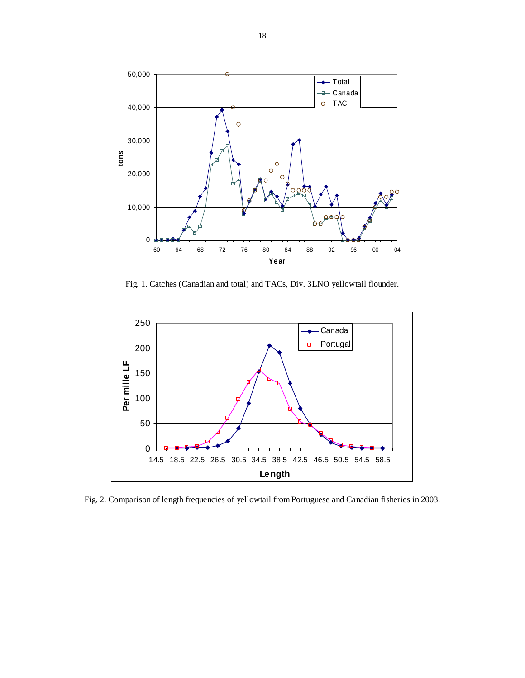

Fig. 1. Catches (Canadian and total) and TACs, Div. 3LNO yellowtail flounder.



Fig. 2. Comparison of length frequencies of yellowtail from Portuguese and Canadian fisheries in 2003.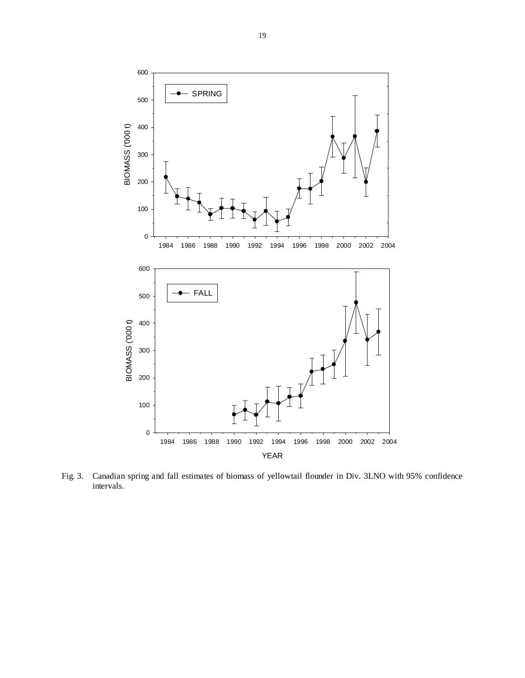

Fig. 3. Canadian spring and fall estimates of biomass of yellowtail flounder in Div. 3LNO with 95% confidence intervals.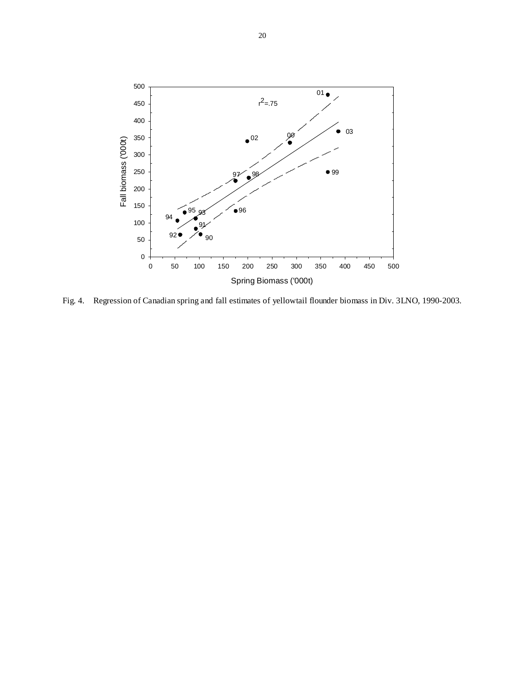

Fig. 4. Regression of Canadian spring and fall estimates of yellowtail flounder biomass in Div. 3LNO, 1990-2003.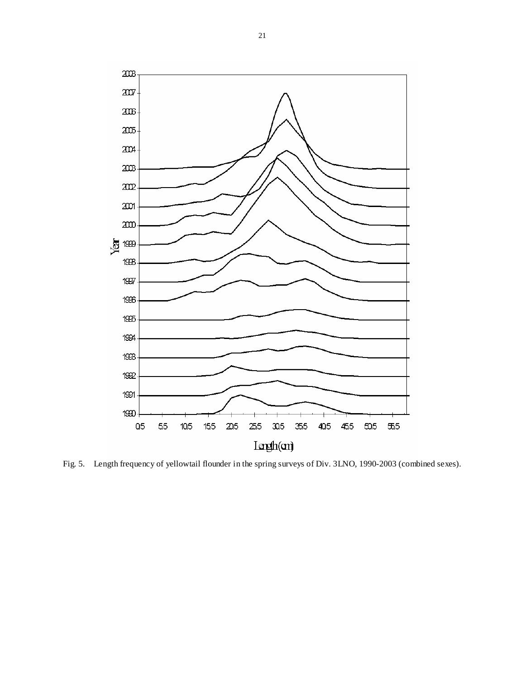

Fig. 5. Length frequency of yellowtail flounder in the spring surveys of Div. 3LNO, 1990-2003 (combined sexes).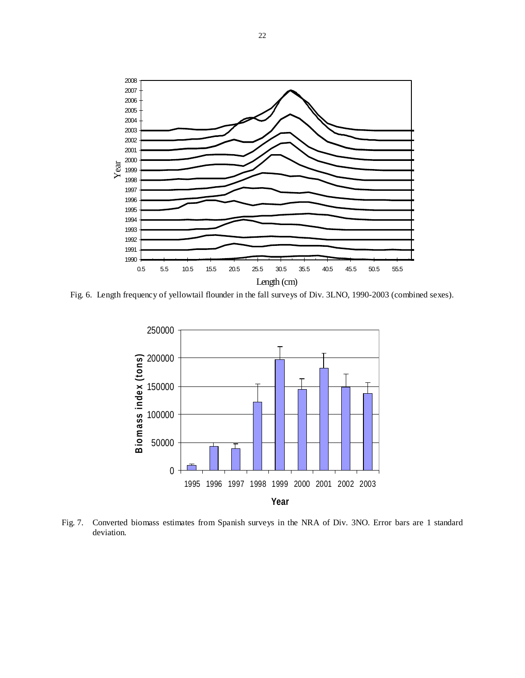

Fig. 6. Length frequency of yellowtail flounder in the fall surveys of Div. 3LNO, 1990-2003 (combined sexes).



Fig. 7. Converted biomass estimates from Spanish surveys in the NRA of Div. 3NO. Error bars are 1 standard deviation.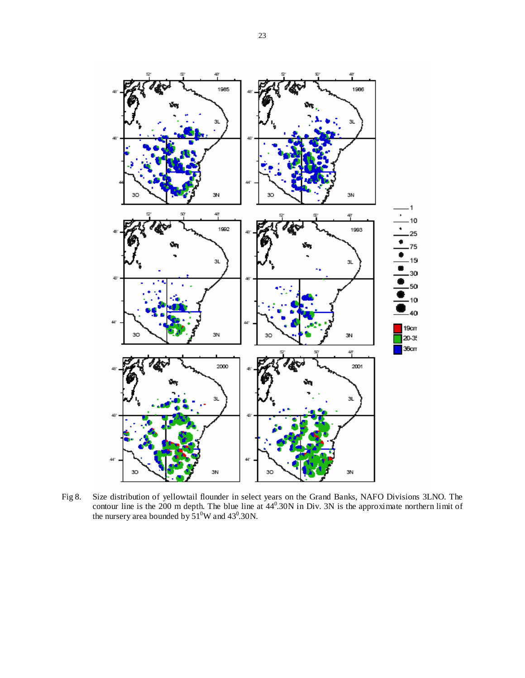

Fig 8. Size distribution of yellowtail flounder in select years on the Grand Banks, NAFO Divisions 3LNO. The contour line is the 200 m depth. The blue line at  $44^{\circ}$ . 30N in Div. 3N is the approximate northern limit of the nursery area bounded by  $51^0$ W and 43<sup>0</sup>.30N.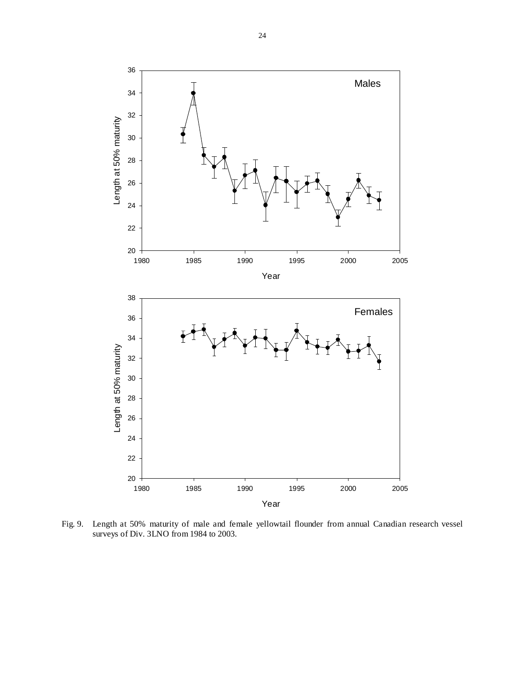

Fig. 9. Length at 50% maturity of male and female yellowtail flounder from annual Canadian research vessel surveys of Div. 3LNO from 1984 to 2003.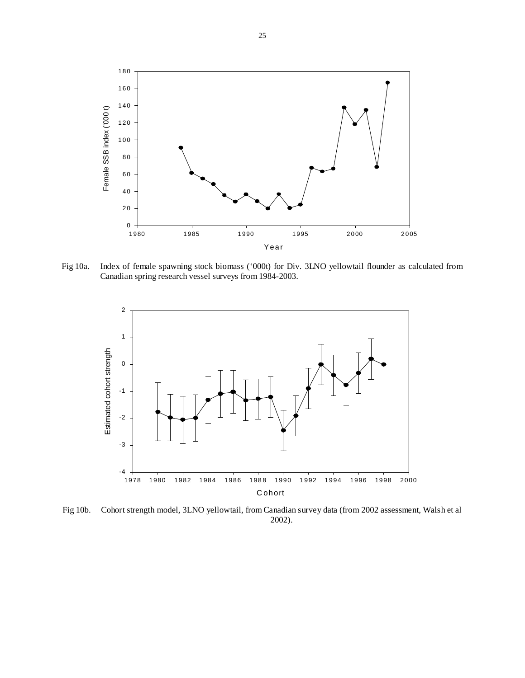

Fig 10a. Index of female spawning stock biomass ('000t) for Div. 3LNO yellowtail flounder as calculated from Canadian spring research vessel surveys from 1984-2003.



Fig 10b. Cohort strength model, 3LNO yellowtail, from Canadian survey data (from 2002 assessment, Walsh et al 2002).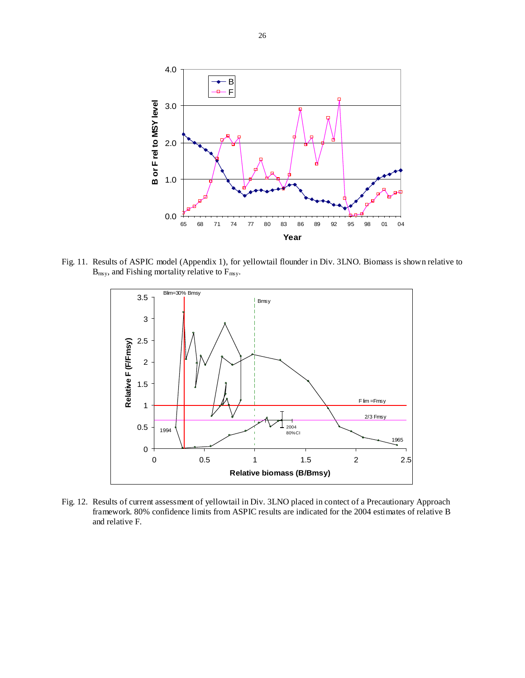

Fig. 11. Results of ASPIC model (Appendix 1), for yellowtail flounder in Div. 3LNO. Biomass is shown relative to  $B_{\text{msy}}$ , and Fishing mortality relative to  $F_{\text{msy}}$ .



Fig. 12. Results of current assessment of yellowtail in Div. 3LNO placed in contect of a Precautionary Approach framework. 80% confidence limits from ASPIC results are indicated for the 2004 estimates of relative B and relative F.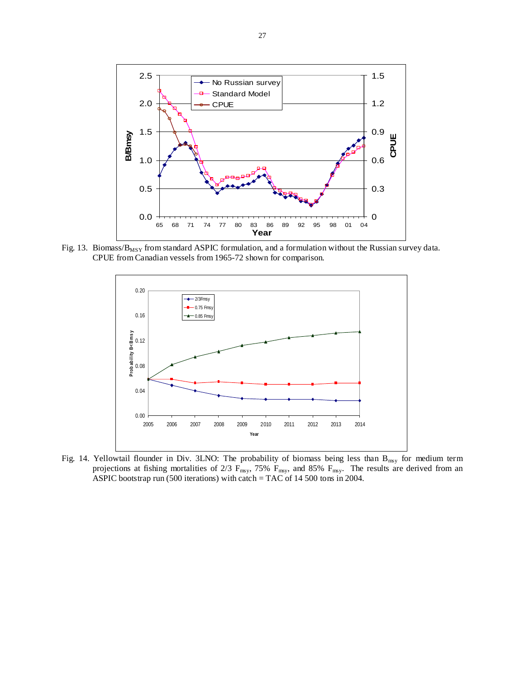

Fig. 13. Biomass/ $B_{MSY}$  from standard ASPIC formulation, and a formulation without the Russian survey data. CPUE from Canadian vessels from 1965-72 shown for comparison.



Fig. 14. Yellowtail flounder in Div. 3LNO: The probability of biomass being less than  $B_{\text{msy}}$  for medium term projections at fishing mortalities of 2/3  $F_{\text{msy}}$ , 75%  $F_{\text{msy}}$ , and 85%  $F_{\text{msy}}$ . The results are derived from an ASPIC bootstrap run (500 iterations) with catch = TAC of 14 500 tons in 2004.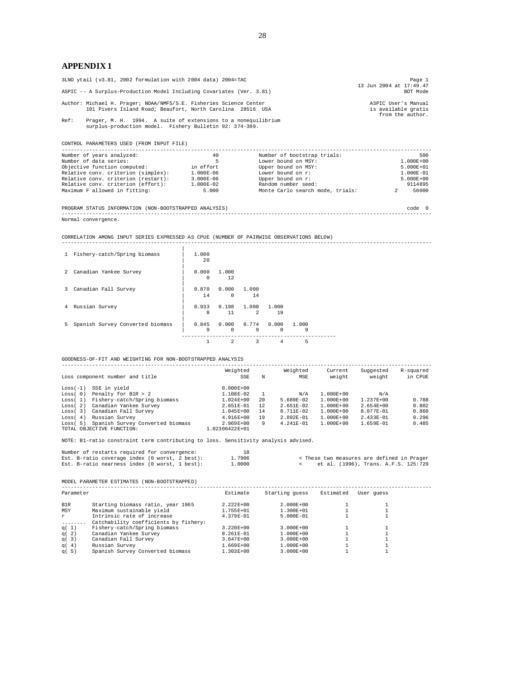## **APPENDIX 1**

|      | 3LNO ytail (v3.81, 2002 formulation with 2004 data) 2004=TAC                                                                     | Page 1<br>13 Jun 2004 at 17:49.47                              |
|------|----------------------------------------------------------------------------------------------------------------------------------|----------------------------------------------------------------|
|      | ASPIC -- A Surplus-Production Model Including Covariates (Ver. 3.81)                                                             | BOT Mode                                                       |
|      | Author: Michael H. Prager; NOAA/NMFS/S.E. Fisheries Science Center<br>101 Pivers Island Road; Beaufort, North Carolina 28516 USA | ASPIC User's Manual<br>is available gratis<br>from the author. |
| Ref: | Prager, M. H. 1994. A suite of extensions to a nonequilibrium<br>surplus-production model. Fishery Bulletin 92: 374-389.         |                                                                |

CONTROL PARAMETERS USED (FROM INPUT FILE)

| Number of years analyzed:           | 40            | Number of bootstrap trials:      |               | 500     |
|-------------------------------------|---------------|----------------------------------|---------------|---------|
| Number of data series:              |               | Lower bound on MSY:              | $1.000E + 00$ |         |
| Objective function computed:        | in effort     | Upper bound on MSY:              | $5.000E + 01$ |         |
| Relative conv. criterion (simplex): | 1.000E-06     | Lower bound on r:                | 1.000E-01     |         |
| Relative conv. criterion (restart): | $3.000E - 06$ | Upper bound on r:                | $5.000E + 00$ |         |
| Relative conv. criterion (effort):  | $1.000E-02$   | Random number seed:              |               | 9114895 |
| Maximum F allowed in fitting:       | 5,000         | Monte Carlo search mode, trials: |               | 50000   |
|                                     |               |                                  |               |         |

PROGRAM STATUS INFORMATION (NON-BOOTSTRAPPED ANALYSIS) code 0 ------------------------------------------------------------------------------------------------------------------------

Normal convergence.

CORRELATION AMONG INPUT SERIES EXPRESSED AS CPUE (NUMBER OF PAIRWISE OBSERVATIONS BELOW) ------------------------------------------------------------------------------------------------------------------------

| $\mathbf{1}$   | Fishery-catch/Spring biomass     | 1,000<br>20       |                   |                                       |          |            |  |
|----------------|----------------------------------|-------------------|-------------------|---------------------------------------|----------|------------|--|
| $\overline{2}$ | Canadian Yankee Survey           | 0.000<br>$\Omega$ | 1.000<br>12       |                                       |          |            |  |
| 3.             | Canadian Fall Survey             | 0.870<br>14       | 0.000<br>$\Omega$ | 1.000<br>14                           |          |            |  |
| 4              | Russian Survey                   | 0.933<br>8        | 11                | $0.198$ 1.000 1.000<br>$\mathfrak{D}$ | 19       |            |  |
| 5.             | Spanish Survey Converted biomass | 0.845<br>9        | $\Omega$          | $0.000$ $0.774$ $0.000$<br>9          | $\Omega$ | 1.000<br>9 |  |
|                |                                  |                   | $\mathfrak{D}$    | 3                                     | 4        | 5          |  |

GOODNESS-OF-FIT AND WEIGHTING FOR NON-BOOTSTRAPPED ANALYSIS

|            | Loss component number and title                               | Weighted<br>SSE                 | N           | Weighted<br>MSE | Current<br>weight | Suggested<br>weight | R-squared<br>in CPUE |
|------------|---------------------------------------------------------------|---------------------------------|-------------|-----------------|-------------------|---------------------|----------------------|
| $Loss(-1)$ | SSE in yield                                                  | $0.000E + 00$                   |             |                 |                   |                     |                      |
| Loss(0)    | Penalty for B1R > 2                                           | $1.108E - 02$                   |             | N/A             | $1.000E + 00$     | N/A                 |                      |
| Loss(1)    | Fishery-catch/Spring biomass                                  | $1.024E + 00$                   | $20 \Omega$ | $5.689E - 02$   | $1.000E + 00$     | $1.237E + 00$       | 0.788                |
| Loss(2)    | Canadian Yankee Survey                                        | $2.651E - 01$                   | 12          | $2.651E - 02$   | $1.000E + 00$     | $2.654E + 00$       | 0.802                |
| Loss(3)    | Canadian Fall Survey                                          | 1.045E+00                       | 14          | $8.711E - 02$   | $1.000E + 00$     | $8.077E - 01$       | 0.860                |
| Loss(4)    | Russian Survey                                                | $4.916E + 00$                   | 19          | $2.892E - 01$   | $1.000E + 00$     | $2.433E - 01$       | 0.296                |
| Loss(5)    | Spanish Survey Converted biomass<br>TOTAL OBJECTIVE FUNCTION: | $2.969E + 00$<br>1.02306422E+01 | 9           | $4.241E - 01$   | $1.000E + 00$     | $1.659E - 01$       | 0.485                |

NOTE: B1-ratio constraint term contributing to loss. Sensitivity analysis advised.

|  | Number of restarts required for convergence:   |  | 18     |  |                                            |  |  |
|--|------------------------------------------------|--|--------|--|--------------------------------------------|--|--|
|  | Est. B-ratio coverage index (0 worst, 2 best): |  | 1.7906 |  | < These two measures are defined in Prager |  |  |
|  | Est. B-ratio nearness index (0 worst, 1 best): |  | 1.0000 |  | et al. (1996), Trans. A.F.S. 125:729       |  |  |

MODEL PARAMETER ESTIMATES (NON-BOOTSTRAPPED)

| Parameter |                                       | Estimate      | Starting quess | Estimated | User quess |
|-----------|---------------------------------------|---------------|----------------|-----------|------------|
| B1R       | Starting biomass ratio, year 1965     | $2.222E+00$   | $2.000E + 00$  |           |            |
| MSY       | Maximum sustainable yield             | 1.755E+01     | $1.300E + 01$  |           |            |
| r.        | Intrinsic rate of increase            | $4.379E - 01$ | $5.000E - 01$  |           |            |
| .         | Catchability coefficients by fishery: |               |                |           |            |
| q(1)      | Fishery-catch/Spring biomass          | $3.220E + 00$ | $3.000E + 00$  |           |            |
| q(2)      | Canadian Yankee Survey                | $8.261E - 01$ | $1.000E + 00$  |           |            |
| q(3)      | Canadian Fall Survey                  | $3.647E + 00$ | $3.000E + 00$  |           |            |
| q(4)      | Russian Survey                        | 1.669E+00     | $1.000E + 00$  |           |            |
| q(5)      | Spanish Survey Converted biomass      | 1.303E+00     | $3.000E + 00$  |           |            |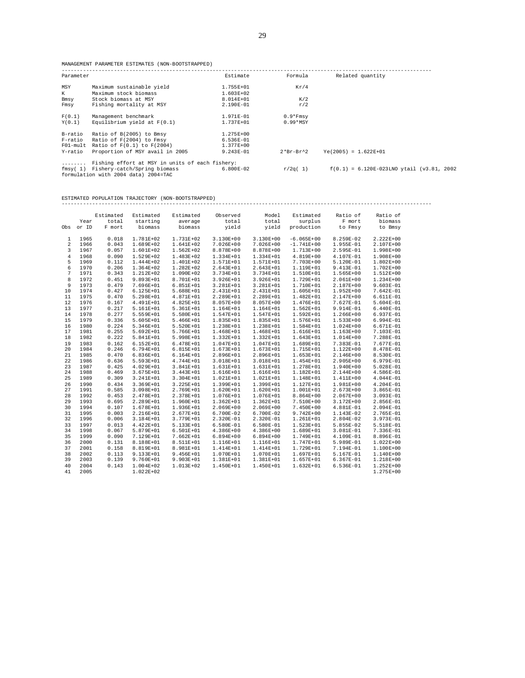MANAGEMENT PARAMETER ESTIMATES (NON-BOOTSTRAPPED)

| Parameter |                                                                              | Estimate      | Formula         | Related quantity                             |
|-----------|------------------------------------------------------------------------------|---------------|-----------------|----------------------------------------------|
| MSY       | Maximum sustainable yield                                                    | 1.755E+01     | Kr/4            |                                              |
| К         | Maximum stock biomass                                                        | $1.603E + 02$ |                 |                                              |
| Bmsy      | Stock biomass at MSY                                                         | $8.014E + 01$ | K/2             |                                              |
| Fmsy      | Fishing mortality at MSY                                                     | 2.190E-01     | r/2             |                                              |
| F(0.1)    | Management benchmark                                                         | 1.971E-01     | $0.9*Fmsy$      |                                              |
| Y(0,1)    | Equilibrium yield at $F(0.1)$                                                | 1.737E+01     | $0.99*$ MSY     |                                              |
| B-ratio   | Ratio of B(2005) to Bmsy                                                     | 1.275E+00     |                 |                                              |
| F-ratio   | Ratio of F(2004) to Fmsy                                                     | $6.536E-01$   |                 |                                              |
|           | $F01$ -mult Ratio of $F(0.1)$ to $F(2004)$                                   | 1.377E+00     |                 |                                              |
| Y-ratio   | Proportion of MSY avail in 2005                                              | $9.243E - 01$ | $2*Br - Br^2$   | $Ye(2005) = 1.622E+01$                       |
| .         | Fishing effort at MSY in units of each fishery:                              |               |                 |                                              |
|           | fmsy(1) Fishery-catch/Spring biomass<br>formulation with 2004 data) 2004=TAC | $6.800E-02$   | $r/2\alpha(-1)$ | $f(0.1) = 6.120E-023LMO$ ytail (v3.81, 2002) |

ESTIMATED POPULATION TRAJECTORY (NON-BOOTSTRAPPED)

------------------------------------------------------------------------------------------------------------------------

|     |       | Estimated | Estimated     | Estimated     | Observed      | Model         | Estimated     | Ratio of      | Ratio of      |
|-----|-------|-----------|---------------|---------------|---------------|---------------|---------------|---------------|---------------|
|     | Year  | total     | starting      | average       | total         | total         | surplus       | F mort        | biomass       |
| Obs | or ID | F mort    | biomass       | biomass       | yield         | yield         | production    | to Fmsy       | to Bmsy       |
| 1   | 1965  | 0.018     | 1.781E+02     | 1.731E+02     | 3.130E+00     | 3.130E+00     | $-6.065E+00$  | 8.259E-02     | $2.222E+00$   |
| 2   | 1966  | 0.043     | 1.689E+02     | 1.641E+02     | 7.026E+00     | 7.026E+00     | $-1.741E+00$  | 1.955E-01     | 2.107E+00     |
| 3   | 1967  | 0.057     |               | $1.562E + 02$ |               | 8.878E+00     |               |               |               |
|     |       |           | 1.601E+02     |               | 8.878E+00     |               | 1.713E+00     | 2.595E-01     | 1.998E+00     |
| 4   | 1968  | 0.090     | 1.529E+02     | 1.483E+02     | 1.334E+01     | 1.334E+01     | 4.819E+00     | 4.107E-01     | $1.908E + 00$ |
| 5   | 1969  | 0.112     | 1.444E+02     | 1.401E+02     | 1.571E+01     | 1.571E+01     | 7.703E+00     | 5.120E-01     | $1.802E + 00$ |
| 6   | 1970  | 0.206     | 1.364E+02     | 1.282E+02     | 2.643E+01     | 2.643E+01     | 1.119E+01     | 9.413E-01     | $1.702E + 00$ |
| 7   | 1971  | 0.343     | 1.212E+02     | 1.090E+02     | 3.734E+01     | 3.734E+01     | 1.510E+01     | 1.565E+00     | 1.512E+00     |
| 8   | 1972  | 0.451     | 9.893E+01     | 8.701E+01     | 3.926E+01     | 3.926E+01     | 1.729E+01     | 2.061E+00     | $1.234E+00$   |
| 9   | 1973  | 0.479     | 7.696E+01     | $6.851E + 01$ | 3.281E+01     | 3.281E+01     | 1.710E+01     | 2.187E+00     | $9.603E - 01$ |
| 10  | 1974  | 0.427     | $6.125E + 01$ | $5.688E + 01$ | 2.431E+01     | 2.431E+01     | 1.605E+01     | 1.952E+00     | 7.642E-01     |
| 11  | 1975  | 0.470     | 5.298E+01     | 4.871E+01     | 2.289E+01     | 2.289E+01     | 1.482E+01     | 2.147E+00     | 6.611E-01     |
| 12  | 1976  | 0.167     | 4.491E+01     | $4.825E + 01$ | 8.057E+00     | 8.057E+00     | 1.476E+01     | 7.627E-01     | 5.604E-01     |
| 13  | 1977  | 0.217     | 5.161E+01     | $5.361E+01$   | 1.164E+01     | 1.164E+01     | $1.562E + 01$ | 9.914E-01     | $6.440E-01$   |
| 14  | 1978  | 0.277     | 5.559E+01     | 5.580E+01     | 1.547E+01     | 1.547E+01     | $1.592E + 01$ | 1.266E+00     | 6.937E-01     |
| 15  | 1979  | 0.336     | 5.605E+01     | $5.466E+01$   | 1.835E+01     | 1.835E+01     | 1.576E+01     | $1.533E+00$   | 6.994E-01     |
| 16  | 1980  | 0.224     | 5.346E+01     | $5.520E + 01$ | 1.238E+01     | 1.238E+01     | 1.584E+01     | $1.024E + 00$ | 6.671E-01     |
| 17  | 1981  | 0.255     | 5.692E+01     | $5.766E + 01$ | 1.468E+01     | 1.468E+01     | 1.616E+01     | $1.163E + 00$ | 7.103E-01     |
| 18  | 1982  | 0.222     | 5.841E+01     | 5.998E+01     | 1.332E+01     | 1.332E+01     | $1.643E+01$   | 1.014E+00     | 7.288E-01     |
| 19  | 1983  | 0.162     | $6.152E + 01$ | $6.478E + 01$ | 1.047E+01     | 1.047E+01     | 1.689E+01     | 7.383E-01     | 7.677E-01     |
| 20  | 1984  | 0.246     | 6.794E+01     | $6.815E + 01$ | 1.673E+01     | 1.673E+01     | 1.715E+01     | 1.122E+00     | 8.478E-01     |
| 21  | 1985  | 0.470     | $6.836E + 01$ | $6.164E + 01$ | 2.896E+01     | $2.896E + 01$ | $1.653E+01$   | 2.146E+00     | $8.530E - 01$ |
| 22  | 1986  | 0.636     | 5.593E+01     | $4.744E + 01$ | 3.018E+01     | 3.018E+01     | $1.454E+01$   | 2.905E+00     | 6.979E-01     |
| 23  | 1987  | 0.425     | 4.029E+01     | $3.841E + 01$ | 1.631E+01     | $1.631E+01$   | 1.278E+01     | 1.940E+00     | $5.028E - 01$ |
| 24  | 1988  | 0.469     | 3.675E+01     | $3.443E + 01$ | 1.616E+01     | 1.616E+01     | 1.182E+01     | 2.144E+00     | 4.586E-01     |
| 25  | 1989  | 0.309     | 3.241E+01     | $3.304E + 01$ | 1.021E+01     | $1.021E + 01$ | 1.148E+01     | 1.411E+00     | 4.044E-01     |
| 26  | 1990  | 0.434     | $3.369E + 01$ | $3.225E + 01$ | 1.399E+01     | $1.399E + 01$ | $1.127E + 01$ | 1.981E+00     | $4.204E - 01$ |
| 27  | 1991  | 0.585     | 3.098E+01     | 2.769E+01     | 1.620E+01     | $1.620E + 01$ | $1.001E + 01$ | $2.673E + 00$ | 3.865E-01     |
| 28  | 1992  | 0.453     | 2.478E+01     | 2.378E+01     | 1.076E+01     | 1.076E+01     | 8.864E+00     | $2.067E + 00$ | $3.093E - 01$ |
| 29  | 1993  | 0.695     | 2.289E+01     | 1.960E+01     | 1.362E+01     | $1.362E + 01$ | 7.510E+00     | 3.172E+00     | 2.856E-01     |
|     |       |           |               |               |               |               |               |               |               |
| 30  | 1994  | 0.107     | 1.678E+01     | 1.936E+01     | 2.069E+00     | 2.069E+00     | $7.450E+00$   | 4.881E-01     | 2.094E-01     |
| 31  | 1995  | 0.003     | 2.216E+01     | 2.677E+01     | 6.700E-02     | 6.700E-02     | $9.742E + 00$ | 1.143E-02     | 2.765E-01     |
| 32  | 1996  | 0.006     | 3.184E+01     | 3.779E+01     | 2.320E-01     | 2.320E-01     | $1.261E+01$   | $2.804E - 02$ | 3.973E-01     |
| 33  | 1997  | 0.013     | 4.422E+01     | $5.133E + 01$ | 6.580E-01     | 6.580E-01     | $1.523E+01$   | 5.855E-02     | 5.518E-01     |
| 34  | 1998  | 0.067     | 5.879E+01     | $6.501E + 01$ | $4.386E+00$   | $4.386E+00$   | 1.689E+01     | 3.081E-01     | 7.336E-01     |
| 35  | 1999  | 0.090     | 7.129E+01     | $7.662E + 01$ | $6.894E + 00$ | $6.894E + 00$ | 1.749E+01     | 4.109E-01     | 8.896E-01     |
| 36  | 2000  | 0.131     | 8.188E+01     | 8.511E+01     | 1.116E+01     | 1.116E+01     | 1.747E+01     | 5.989E-01     | $1.022E + 00$ |
| 37  | 2001  | 0.158     | 8.819E+01     | 8.981E+01     | 1.414E+01     | 1.414E+01     | 1.729E+01     | 7.194E-01     | 1.100E+00     |
| 38  | 2002  | 0.113     | 9.133E+01     | $9.456E + 01$ | 1.070E+01     | 1.070E+01     | $1.697E + 01$ | 5.167E-01     | $1.140E + 00$ |
| 39  | 2003  | 0.139     | 9.760E+01     | $9.903E + 01$ | 1.381E+01     | 1.381E+01     | $1.657E+01$   | $6.367E - 01$ | $1.218E+00$   |
| 40  | 2004  | 0.143     | 1.004E+02     | $1.013E + 02$ | 1.450E+01     | 1.450E+01     | $1.632E + 01$ | $6.536E - 01$ | $1.252E+00$   |
| 41  | 2005  |           | $1.022E + 02$ |               |               |               |               |               | $1.275E + 00$ |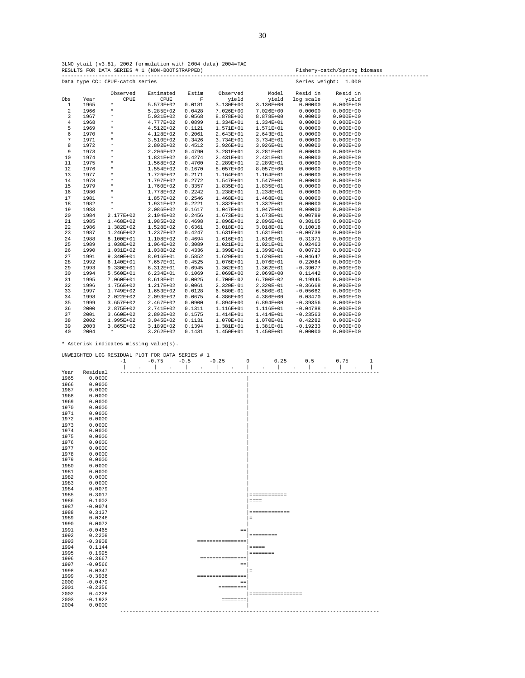|  |  |  |                                                |  | 3LNO ytail (v3.81, 2002 formulation with 2004 data) 2004=TAC |  |
|--|--|--|------------------------------------------------|--|--------------------------------------------------------------|--|
|  |  |  | RESULTS FOR DATA SERIES # 1 (NON-BOOTSTRAPPED) |  |                                                              |  |

----------------------------------------------------------------------------------------------------------------------- Data type CC: CPUE-catch series Observed Estimated Estim Observed Model Resid in Resid in<br>Obs Year CPUE CPUE F yield yield log-scale yield Obs Year CPUE CPUE F yield yield log scale yield 1 1965 \* 5.573E+02 0.0181 3.130E+00 3.130E+00 0.00000 0.000E+00 2 1966 \* 5.285E+02 0.0428 7.026E+00 7.026E+00 0.00000 0.000E+00 3 1967 \* 5.031E+02 0.0568 8.878E+00 8.878E+00 0.00000 0.000E+00 4 1968 \* 4.777E+02 0.0899 1.334E+01 1.334E+01 0.00000 0.000E+00 5 1969 \* 4.512E+02 0.1121 1.571E+01 1.571E+01 0.00000 0.000E+00 6 1970 \* 4.128E+02 0.2061 2.643E+01 2.643E+01 0.00000 0.000E+00 7 1971 \* 3.510E+02 0.3426 3.734E+01 3.734E+01 0.00000 0.000E+00 8 1972 \* 2.802E+02 0.4512 3.926E+01 3.926E+01 0.00000 0.000E+00 9 1973 \* 2.206E+02 0.4790 3.281E+01 3.281E+01 0.00000 0.000E+00 10 1974 \* 1.831E+02 0.4274 2.431E+01 2.431E+01 0.00000 0.000E+00 11 1975 \* 1.568E+02 0.4700 2.289E+01 2.289E+01 0.00000 0.000E+00 12 1976 \* 1.554E+02 0.1670 8.057E+00 8.057E+00 0.00000 0.000E+00 13 1977 \* 1.726E+02 0.2171 1.164E+01 1.164E+01 0.00000 0.000E+00 14 1978 \* 1.797E+02 0.2772 1.547E+01 1.547E+01 0.00000 0.000E+00 15 1979 \* 1.760E+02 0.3357 1.835E+01 1.835E+01 0.00000 0.000E+00 16 1980 \* 1.778E+02 0.2242 1.238E+01 1.238E+01 0.00000 0.000E+00 17 1981 \* 1.857E+02 0.2546 1.468E+01 1.468E+01 0.00000 0.000E+00 18 1982 \* 1.931E+02 0.2221 1.332E+01 1.047E+01 0.00000 0.000E+00<br>19 1983 \* 2.086E+02 0.1617 1.047E+01 1.047E+01 0.00000 0.000E+00<br>20 1984 2.177E+02 2.194E+02 0.2456 1.673E+01 1.673E+01 0.00789 0.000E+00 19 1983 \* 2.086E+02 0.1617 1.047E+01 1.047E+01 0.00000 0.000E+00 20 1984 2.177E+02 2.194E+02 0.2456 1.673E+01 1.673E+01 0.00789 0.000E+00 21 1985 1.468E+02 1.985E+02 0.4698 2.896E+01 2.896E+01 0.30165 0.000E+00  $\begin{array}{cccccccc} 22 & 1986 & 1.382\mathrm{E}+02 & 1.528\mathrm{E}+02 & 0.6361 & 3.018\mathrm{E}+01 & 3.018\mathrm{E}+01 & 0.10018 & 0.000\mathrm{E}+00 \\ 23 & 1987 & 1.246\mathrm{E}+02 & 1.237\mathrm{E}+02 & 0.4247 & 1.631\mathrm{E}+01 & 1.631\mathrm{E}+01 & -0.00739 & 0.000\mathrm{E}+00 \end{array}$  23 1987 1.246E+02 1.237E+02 0.4247 1.631E+01 1.631E+01 -0.00739 0.000E+00 24 1988 8.100E+01 1.108E+02 0.4694 1.616E+01 1.616E+01 0.31371 0.000E+00 25 1989 1.038E+02 1.064E+02 0.3089 1.021E+01 1.021E+01 0.02463 0.000E+00 26 1990 1.031E+02 1.038E+02 0.4336 1.399E+01 1.399E+01 0.00723 0.000E+00 27 1991 9.340E+01 8.916E+01 0.5852 1.620E+01 1.620E+01 -0.04647 0.000E+00 28 1992 6.140E+01 7.657E+01 0.4525 1.076E+01 1.076E+01 0.22084 0.000E+00 29 1993 9.330E+01 6.312E+01 0.6945 1.362E+01 1.362E+01 -0.39077 0.000E+00 30 1994 5.560E+01 6.234E+01 0.1069 2.069E+00 2.069E+00 0.11442 0.000E+00 31 1995 7.060E+01 8.618E+01 0.0025 6.700E-02 6.700E-02 0.19945 0.000E+00 32 1996 1.756E+02 1.217E+02 0.0061 2.320E-01 2.320E-01 -0.36668 0.000E+00 33 1997 1.749E+02 1.653E+02 0.0128 6.580E-01 6.580E-01 -0.05662 0.000E+00 34 1998 2.022E+02 2.093E+02 0.0675 4.386E+00 4.386E+00 0.03470 0.000E+00 35 1999 3.657E+02 2.467E+02 0.0900 6.894E+00 6.894E+00 -0.39356 0.000E+00 36 2000 2.875E+02 2.741E+02 0.1311 1.116E+01 1.116E+01 -0.04788 0.000E+00 37 2001 3.660E+02 2.892E+02 0.1575 1.414E+01 1.414E+01 -0.23563 0.000E+00 38 2002 1.995E+02 3.045E+02 0.1131 1.070E+01 1.070E+01 0.42282 0.000E+00 39 2003 3.865E+02 3.189E+02 0.1394 1.381E+01 1.381E+01 -0.19233 0.000E+00 40 2004 \* 3.262E+02 0.1431 1.450E+01 1.450E+01 0.00000 0.000E+00

\* Asterisk indicates missing value(s).

|      | UNWEIGHTED LOG RESIDUAL PLOT FOR DATA SERIES # 1 |      |              |                             |        |        |         |                  |                   |                 |                                    |     |                |         |   |
|------|--------------------------------------------------|------|--------------|-----------------------------|--------|--------|---------|------------------|-------------------|-----------------|------------------------------------|-----|----------------|---------|---|
|      |                                                  | $-1$ |              | $-0.75$                     | $-0.5$ |        | $-0.25$ |                  | 0                 |                 | 0.25                               | 0.5 |                | 0.75    | 1 |
|      |                                                  |      | $\mathbf{r}$ | $\blacksquare$              |        | $\sim$ |         | $\Box$           |                   | $\Delta$        | $\cdot$                            | ı   | $\blacksquare$ | $\cdot$ |   |
| Year | Residual                                         |      |              |                             |        |        |         |                  |                   |                 |                                    |     |                |         |   |
| 1965 | 0.0000                                           |      |              |                             |        |        |         |                  |                   |                 |                                    |     |                |         |   |
| 1966 | 0.0000                                           |      |              |                             |        |        |         |                  |                   |                 |                                    |     |                |         |   |
| 1967 | 0.0000                                           |      |              |                             |        |        |         |                  |                   |                 |                                    |     |                |         |   |
| 1968 | 0.0000                                           |      |              |                             |        |        |         |                  |                   |                 |                                    |     |                |         |   |
| 1969 | 0.0000                                           |      |              |                             |        |        |         |                  |                   |                 |                                    |     |                |         |   |
| 1970 | 0.0000                                           |      |              |                             |        |        |         |                  |                   |                 |                                    |     |                |         |   |
| 1971 | 0.0000                                           |      |              |                             |        |        |         |                  |                   |                 |                                    |     |                |         |   |
| 1972 | 0.0000                                           |      |              |                             |        |        |         |                  |                   |                 |                                    |     |                |         |   |
| 1973 | 0.0000                                           |      |              |                             |        |        |         |                  |                   |                 |                                    |     |                |         |   |
| 1974 | 0.0000                                           |      |              |                             |        |        |         |                  |                   |                 |                                    |     |                |         |   |
| 1975 | 0.0000                                           |      |              |                             |        |        |         |                  |                   |                 |                                    |     |                |         |   |
| 1976 | 0.0000                                           |      |              |                             |        |        |         |                  |                   |                 |                                    |     |                |         |   |
| 1977 | 0.0000                                           |      |              |                             |        |        |         |                  |                   |                 |                                    |     |                |         |   |
| 1978 | 0.0000                                           |      |              |                             |        |        |         |                  |                   |                 |                                    |     |                |         |   |
| 1979 | 0.0000                                           |      |              |                             |        |        |         |                  |                   |                 |                                    |     |                |         |   |
| 1980 | 0.0000                                           |      |              |                             |        |        |         |                  |                   |                 |                                    |     |                |         |   |
| 1981 | 0.0000                                           |      |              |                             |        |        |         |                  |                   |                 |                                    |     |                |         |   |
| 1982 | 0.0000                                           |      |              |                             |        |        |         |                  |                   |                 |                                    |     |                |         |   |
| 1983 | 0.0000                                           |      |              |                             |        |        |         |                  |                   |                 |                                    |     |                |         |   |
| 1984 | 0.0079                                           |      |              |                             |        |        |         |                  |                   |                 |                                    |     |                |         |   |
| 1985 | 0.3017                                           |      |              |                             |        |        |         |                  |                   |                 | $=$ = = = = = = = = = = =          |     |                |         |   |
| 1986 | 0.1002                                           |      |              |                             |        |        |         |                  |                   | $= = = =$       |                                    |     |                |         |   |
| 1987 | $-0.0074$                                        |      |              |                             |        |        |         |                  |                   |                 |                                    |     |                |         |   |
| 1988 | 0.3137                                           |      |              |                             |        |        |         |                  |                   |                 | =============                      |     |                |         |   |
| 1989 | 0.0246                                           |      |              |                             |        |        |         |                  | $\equiv$          |                 |                                    |     |                |         |   |
| 1990 | 0.0072                                           |      |              |                             |        |        |         |                  |                   |                 |                                    |     |                |         |   |
| 1991 | $-0.0465$                                        |      |              |                             |        |        |         |                  | $\equiv$ $\equiv$ |                 |                                    |     |                |         |   |
| 1992 | 0.2208                                           |      |              |                             |        |        |         |                  |                   | $=$ =========   |                                    |     |                |         |   |
| 1993 | $-0.3908$                                        |      |              |                             |        |        |         | ================ |                   |                 |                                    |     |                |         |   |
| 1994 | 0.1144                                           |      |              |                             |        |        |         |                  |                   | $=$ $=$ $=$ $=$ |                                    |     |                |         |   |
| 1995 | 0.1995                                           |      |              |                             |        |        |         |                  |                   | <b>SEESSEES</b> |                                    |     |                |         |   |
| 1996 | $-0.3667$                                        |      |              |                             |        |        |         | ===============  |                   |                 |                                    |     |                |         |   |
| 1997 | $-0.0566$                                        |      |              |                             |        |        |         |                  | $\equiv$ $\equiv$ |                 |                                    |     |                |         |   |
| 1998 | 0.0347                                           |      |              |                             |        |        |         |                  | $=$               |                 |                                    |     |                |         |   |
| 1999 | $-0.3936$                                        |      |              |                             |        |        |         | ================ |                   |                 |                                    |     |                |         |   |
| 2000 | $-0.0479$                                        |      |              |                             |        |        |         |                  | $=$ $=$           |                 |                                    |     |                |         |   |
| 2001 | $-0.2356$                                        |      |              |                             |        |        |         | $=$ ========     |                   |                 |                                    |     |                |         |   |
| 2002 | 0.4228                                           |      |              |                             |        |        |         |                  |                   |                 | =================                  |     |                |         |   |
| 2003 | $-0.1923$                                        |      |              |                             |        |        |         | <b>SEEEEEEE</b>  |                   |                 |                                    |     |                |         |   |
| 2004 | 0.0000                                           |      |              |                             |        |        |         |                  |                   |                 |                                    |     |                |         |   |
|      |                                                  |      |              | --------------------------- |        |        |         |                  |                   |                 | ---------------------------------- |     |                |         |   |

Fishery-catch/Spring biomass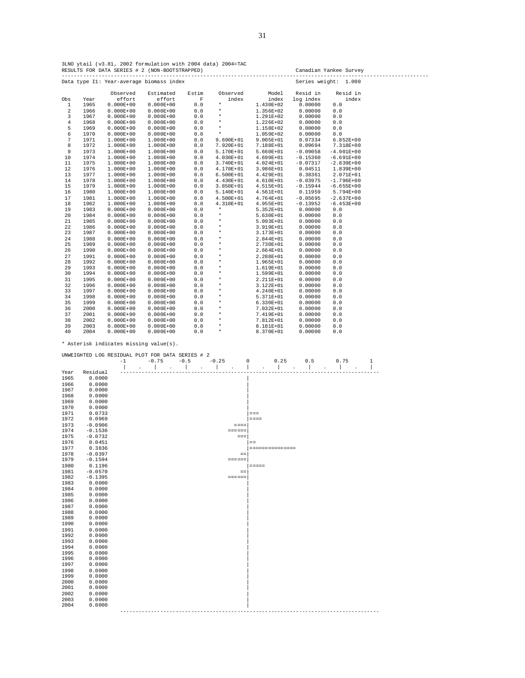3LNO ytail (v3.81, 2002 formulation with 2004 data) 2004=TAC RESULTS FOR DATA SERIES # 2 (NON-BOOTSTRAPPED) Canadian Yankee Survey -----------------------------------------------------------------------------------------------------------------------

|              |      |               | Data type I1: Year-average biomass index |             |               |               | Series weight: | 1.000          |  |
|--------------|------|---------------|------------------------------------------|-------------|---------------|---------------|----------------|----------------|--|
|              |      | Observed      | Estimated                                | Estim       | Observed      | Model         | Resid in       | Resid in       |  |
| Obs          | Year | effort        | effort                                   | $\mathbb F$ | index         | index         | log index      | index          |  |
| $\mathbf{1}$ | 1965 | $0.000E + 00$ | $0.000E + 00$                            | $0.0$       | $^\star$      | 1.430E+02     | 0.00000        | 0.0            |  |
| 2            | 1966 | $0.000E + 00$ | $0.000E + 00$                            | 0.0         | $\star$       | 1.356E+02     | 0.00000        | $0.0$          |  |
| 3            | 1967 | $0.000E + 00$ | $0.000E + 00$                            | 0.0         | $\star$       | 1.291E+02     | 0.00000        | 0.0            |  |
| $\bf 4$      | 1968 | $0.000E + 00$ | $0.000E + 00$                            | 0.0         | $\star$       | 1.226E+02     | 0.00000        | 0.0            |  |
| 5            | 1969 | $0.000E + 00$ | $0.000E + 00$                            | 0.0         | $\star$       | 1.158E+02     | 0.00000        | 0.0            |  |
| 6            | 1970 | $0.000E + 00$ | $0.000E + 00$                            | 0.0         | $\star$       | 1.059E+02     | 0.00000        | 0.0            |  |
| 7            | 1971 | $1.000E+00$   | 1.000E+00                                | 0.0         | $9.690E + 01$ | $9.005E + 01$ | 0.07334        | $6.852E + 00$  |  |
| 8            | 1972 | $1.000E + 00$ | 1.000E+00                                | 0.0         | 7.920E+01     | 7.188E+01     | 0.09694        | 7.318E+00      |  |
| 9            | 1973 | $1.000E + 00$ | 1.000E+00                                | 0.0         | 5.170E+01     | 5.660E+01     | $-0.09058$     | $-4.901E+00$   |  |
| 10           | 1974 | $1.000E + 00$ | 1.000E+00                                | 0.0         | 4.030E+01     | 4.699E+01     | $-0.15360$     | $-6.691E+00$   |  |
| 11           | 1975 | $1.000E + 00$ | 1.000E+00                                | $0.0$       | 3.740E+01     | 4.024E+01     | $-0.07317$     | $-2.839E+00$   |  |
| 12           | 1976 | $1.000E + 00$ | 1.000E+00                                | 0.0         | 4.170E+01     | 3.986E+01     | 0.04511        | 1.839E+00      |  |
| 13           | 1977 | $1.000E + 00$ | 1.000E+00                                | $0.0$       | $6.500E + 01$ | 4.429E+01     | 0.38361        | 2.071E+01      |  |
| 14           | 1978 | $1.000E + 00$ | 1.000E+00                                | 0.0         | 4.430E+01     | 4.610E+01     | $-0.03975$     | $-1.796E + 00$ |  |
| 15           | 1979 | $1.000E + 00$ | 1.000E+00                                | 0.0         | $3.850E+01$   | 4.515E+01     | $-0.15944$     | $-6.655E+00$   |  |
| 16           | 1980 | $1.000E + 00$ | 1.000E+00                                | 0.0         | 5.140E+01     | 4.561E+01     | 0.11959        | 5.794E+00      |  |
| 17           | 1981 | $1.000E + 00$ | 1.000E+00                                | 0.0         | $4.500E + 01$ | 4.764E+01     | $-0.05695$     | $-2.637E+00$   |  |
| 18           | 1982 | $1.000E + 00$ | 1.000E+00                                | 0.0         | 4.310E+01     | 4.955E+01     | $-0.13952$     | $-6.453E+00$   |  |
| 19           | 1983 | $0.000E + 00$ | $0.000E + 00$                            | 0.0         | $\star$       | 5.352E+01     | 0.00000        | 0.0            |  |
| 20           | 1984 | $0.000E + 00$ | $0.000E + 00$                            | 0.0         | $\star$       | 5.630E+01     | 0.00000        | 0.0            |  |
| 21           | 1985 | $0.000E + 00$ | $0.000E + 00$                            | 0.0         | $\star$       | $5.093E+01$   | 0.00000        | 0.0            |  |
| 22           | 1986 | $0.000E + 00$ | $0.000E + 00$                            | 0.0         | $\star$       | 3.919E+01     | 0.00000        | 0.0            |  |
| 23           | 1987 | $0.000E + 00$ | $0.000E + 00$                            | 0.0         | $\star$       | 3.173E+01     | 0.00000        | 0.0            |  |
| 24           | 1988 | $0.000E + 00$ | $0.000E + 00$                            | $0.0$       | $\star$       | 2.844E+01     | 0.00000        | 0.0            |  |
| 25           | 1989 | $0.000E + 00$ | $0.000E + 00$                            | 0.0         | $\star$       | 2.730E+01     | 0.00000        | 0.0            |  |
| 26           | 1990 | $0.000E + 00$ | $0.000E + 00$                            | 0.0         | $\star$       | $2.664E + 01$ | 0.00000        | 0.0            |  |
| 27           | 1991 | $0.000E + 00$ | $0.000E + 00$                            | 0.0         | $\star$       | 2.288E+01     | 0.00000        | $0.0$          |  |
| 28           | 1992 | $0.000E + 00$ | $0.000E + 00$                            | $0.0$       | $\star$       | 1.965E+01     | 0.00000        | $0.0$          |  |
| 29           | 1993 | $0.000E + 00$ | $0.000E + 00$                            | 0.0         | $\star$       | 1.619E+01     | 0.00000        | $0.0$          |  |
| 30           | 1994 | $0.000E + 00$ | $0.000E + 00$                            | $0.0$       | $\star$       | 1.599E+01     | 0.00000        | $0.0$          |  |
| 31           | 1995 | $0.000E + 00$ | $0.000E + 00$                            | 0.0         | $\star$       | 2.211E+01     | 0.00000        | $0.0$          |  |
| 32           | 1996 | $0.000E + 00$ | $0.000E + 00$                            | 0.0         | $\star$       | 3.122E+01     | 0.00000        | $0.0$          |  |
| 33           | 1997 | $0.000E + 00$ | $0.000E + 00$                            | 0.0         | $\star$       | 4.240E+01     | 0.00000        | 0.0            |  |
| 34           | 1998 | $0.000E + 00$ | $0.000E + 00$                            | 0.0         | $\star$       | 5.371E+01     | 0.00000        | 0.0            |  |
| 35           | 1999 | $0.000E + 00$ | $0.000E + 00$                            | 0.0         | $\star$       | $6.330E+01$   | 0.00000        | 0.0            |  |
| 36           | 2000 | $0.000E + 00$ | $0.000E + 00$                            | 0.0         | $\star$       | 7.032E+01     | 0.00000        | 0.0            |  |
| 37           | 2001 | $0.000E + 00$ | $0.000E + 00$                            | 0.0         | $\star$       | 7.419E+01     | 0.00000        | 0.0            |  |
| 38           | 2002 | $0.000E + 00$ | $0.000E + 00$                            | 0.0         | $\star$       | 7.812E+01     | 0.00000        | 0.0            |  |
| 39           | 2003 | $0.000E + 00$ | $0.000E + 00$                            | 0.0         | $\star$       | 8.181E+01     | 0.00000        | 0.0            |  |
| 40           | 2004 | $0.000E + 00$ | $0.000E + 00$                            | 0.0         | $\star$       | 8.370E+01     | 0.00000        | 0.0            |  |

|      | UNWEIGHTED LOG RESIDUAL PLOT FOR DATA SERIES # 2 |      |         |        |  |         |               |                 |                    |     |      |   |
|------|--------------------------------------------------|------|---------|--------|--|---------|---------------|-----------------|--------------------|-----|------|---|
|      |                                                  | $-1$ | $-0.75$ | $-0.5$ |  | $-0.25$ |               | 0               | 0.25               | 0.5 | 0.75 | 1 |
|      |                                                  |      |         |        |  |         |               |                 |                    |     |      |   |
| Year | Residual                                         |      |         |        |  |         |               |                 |                    |     |      |   |
| 1965 | 0.0000                                           |      |         |        |  |         |               |                 |                    |     |      |   |
| 1966 | 0.0000                                           |      |         |        |  |         |               |                 |                    |     |      |   |
| 1967 | 0.0000                                           |      |         |        |  |         |               |                 |                    |     |      |   |
| 1968 | 0.0000                                           |      |         |        |  |         |               |                 |                    |     |      |   |
| 1969 | 0.0000                                           |      |         |        |  |         |               |                 |                    |     |      |   |
| 1970 | 0.0000                                           |      |         |        |  |         |               |                 |                    |     |      |   |
| 1971 | 0.0733                                           |      |         |        |  |         |               | $=$ $=$ $=$     |                    |     |      |   |
| 1972 | 0.0969                                           |      |         |        |  |         |               | $=$ $=$ $=$ $=$ |                    |     |      |   |
| 1973 | $-0.0906$                                        |      |         |        |  |         | $=$ $=$ $=$   |                 |                    |     |      |   |
| 1974 | $-0.1536$                                        |      |         |        |  |         | ======        |                 |                    |     |      |   |
| 1975 | $-0.0732$                                        |      |         |        |  |         | $=$ $=$ $=$   |                 |                    |     |      |   |
| 1976 | 0.0451                                           |      |         |        |  |         |               | $=$ $=$         |                    |     |      |   |
| 1977 | 0.3836                                           |      |         |        |  |         |               |                 | = ===== ===== ==== |     |      |   |
| 1978 | $-0.0397$                                        |      |         |        |  |         | $=$           |                 |                    |     |      |   |
| 1979 | $-0.1594$                                        |      |         |        |  |         | <b>ESSESS</b> |                 |                    |     |      |   |
| 1980 | 0.1196                                           |      |         |        |  |         |               | $=$ $=$ $=$ $=$ |                    |     |      |   |
| 1981 | $-0.0570$                                        |      |         |        |  |         | $=$ $=$       |                 |                    |     |      |   |
| 1982 | $-0.1395$                                        |      |         |        |  |         | <b>ESSESS</b> |                 |                    |     |      |   |
| 1983 | 0.0000                                           |      |         |        |  |         |               |                 |                    |     |      |   |
| 1984 | 0.0000                                           |      |         |        |  |         |               |                 |                    |     |      |   |
| 1985 | 0.0000                                           |      |         |        |  |         |               |                 |                    |     |      |   |
| 1986 | 0.0000                                           |      |         |        |  |         |               |                 |                    |     |      |   |
| 1987 | 0.0000                                           |      |         |        |  |         |               |                 |                    |     |      |   |
| 1988 | 0.0000                                           |      |         |        |  |         |               |                 |                    |     |      |   |
| 1989 | 0.0000                                           |      |         |        |  |         |               |                 |                    |     |      |   |
| 1990 | 0.0000                                           |      |         |        |  |         |               |                 |                    |     |      |   |
| 1991 | 0.0000                                           |      |         |        |  |         |               |                 |                    |     |      |   |
| 1992 | 0.0000                                           |      |         |        |  |         |               |                 |                    |     |      |   |
| 1993 | 0.0000                                           |      |         |        |  |         |               |                 |                    |     |      |   |
| 1994 | 0.0000                                           |      |         |        |  |         |               |                 |                    |     |      |   |
| 1995 | 0.0000                                           |      |         |        |  |         |               |                 |                    |     |      |   |
| 1996 | 0.0000                                           |      |         |        |  |         |               |                 |                    |     |      |   |
| 1997 | 0.0000                                           |      |         |        |  |         |               |                 |                    |     |      |   |
| 1998 | 0.0000                                           |      |         |        |  |         |               |                 |                    |     |      |   |
| 1999 | 0.0000                                           |      |         |        |  |         |               |                 |                    |     |      |   |
| 2000 | 0.0000                                           |      |         |        |  |         |               |                 |                    |     |      |   |
| 2001 | 0.0000                                           |      |         |        |  |         |               |                 |                    |     |      |   |
| 2002 | 0.0000                                           |      |         |        |  |         |               |                 |                    |     |      |   |
| 2003 | 0.0000                                           |      |         |        |  |         |               |                 |                    |     |      |   |
| 2004 | 0.0000                                           |      |         |        |  |         |               |                 |                    |     |      |   |
|      |                                                  |      |         |        |  |         |               |                 |                    |     |      |   |
|      |                                                  |      |         |        |  |         |               |                 |                    |     |      |   |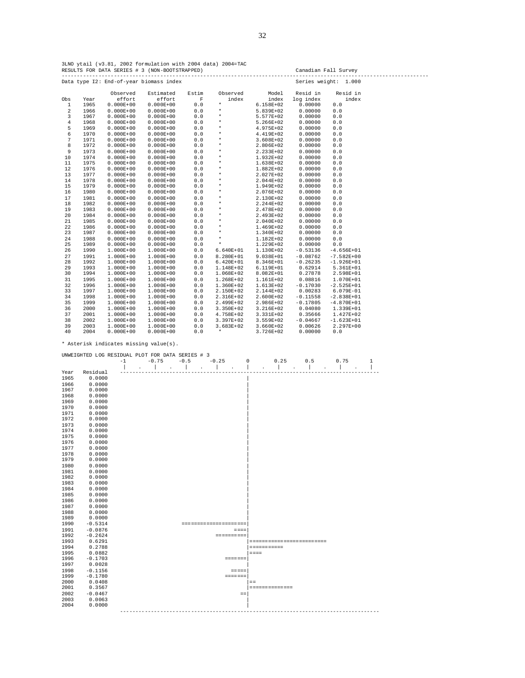3LNO ytail (v3.81, 2002 formulation with 2004 data) 2004=TAC RESULTS FOR DATA SERIES # 3 (NON-BOOTSTRAPPED) Canadian Fall Survey -----------------------------------------------------------------------------------------------------------------------

|                |      |               | Data type I2: End-of-year biomass index |             |               |               | Series weight: | 1.000          |  |
|----------------|------|---------------|-----------------------------------------|-------------|---------------|---------------|----------------|----------------|--|
|                |      | Observed      | Estimated                               | Estim       | Observed      | Model         | Resid in       | Resid in       |  |
| Obs            | Year | effort        | effort                                  | $\mathbf F$ | index         | index         | log index      | index          |  |
| $\mathbf{1}$   | 1965 | $0.000E + 00$ | $0.000E + 00$                           | 0.0         | $^\star$      | 6.158E+02     | 0.00000        | 0.0            |  |
| $\overline{a}$ | 1966 | $0.000E + 00$ | $0.000E + 00$                           | 0.0         | $\star$       | 5.839E+02     | 0.00000        | 0.0            |  |
| 3              | 1967 | $0.000E + 00$ | $0.000E + 00$                           | 0.0         | $\star$       | 5.577E+02     | 0.00000        | 0.0            |  |
| $\overline{4}$ | 1968 | $0.000E + 00$ | $0.000E + 00$                           | $0.0$       | $\star$       | 5.266E+02     | 0.00000        | 0.0            |  |
| 5              | 1969 | $0.000E + 00$ | $0.000E + 00$                           | 0.0         | $\star$       | 4.975E+02     | 0.00000        | 0.0            |  |
| 6              | 1970 | $0.000E + 00$ | $0.000E + 00$                           | 0.0         | $\star$       | 4.419E+02     | 0.00000        | 0.0            |  |
| $\overline{7}$ | 1971 | $0.000E + 00$ | $0.000E + 00$                           | 0.0         | $\star$       | $3.608E + 02$ | 0.00000        | 0.0            |  |
| 8              | 1972 | $0.000E + 00$ | $0.000E + 00$                           | 0.0         | $\star$       | 2.806E+02     | 0.00000        | 0.0            |  |
| 9              | 1973 | $0.000E + 00$ | $0.000E + 00$                           | 0.0         | $\star$       | 2.233E+02     | 0.00000        | 0.0            |  |
| 10             | 1974 | $0.000E + 00$ | $0.000E + 00$                           | $0.0$       | $\star$       | $1.932E + 02$ | 0.00000        | $0.0$          |  |
| 11             | 1975 | $0.000E + 00$ | $0.000E + 00$                           | 0.0         | $\star$       | 1.638E+02     | 0.00000        | 0.0            |  |
| 12             | 1976 | $0.000E + 00$ | $0.000E + 00$                           | 0.0         | $\star$       | $1.882E + 02$ | 0.00000        | 0.0            |  |
| 13             | 1977 | $0.000E + 00$ | $0.000E + 00$                           | $0.0$       | $\star$       | 2.027E+02     | 0.00000        | $0.0$          |  |
| 14             | 1978 | $0.000E + 00$ | $0.000E + 00$                           | 0.0         | $\star$       | 2.044E+02     | 0.00000        | 0.0            |  |
| 15             | 1979 | $0.000E + 00$ | $0.000E + 00$                           | 0.0         | $\star$       | 1.949E+02     | 0.00000        | 0.0            |  |
| 16             | 1980 | $0.000E + 00$ | $0.000E + 00$                           | 0.0         | $^\star$      | 2.076E+02     | 0.00000        | 0.0            |  |
| 17             | 1981 | $0.000E + 00$ | $0.000E + 00$                           | 0.0         | $^\star$      | 2.130E+02     | 0.00000        | 0.0            |  |
| 18             | 1982 | $0.000E + 00$ | $0.000E + 00$                           | $0.0$       | $^\star$      | 2.244E+02     | 0.00000        | 0.0            |  |
| 19             | 1983 | $0.000E + 00$ | $0.000E + 00$                           | 0.0         | $\star$       | 2.478E+02     | 0.00000        | 0.0            |  |
| 20             | 1984 | $0.000E + 00$ | $0.000E + 00$                           | 0.0         | $\star$       | 2.493E+02     | 0.00000        | 0.0            |  |
| 21             | 1985 | $0.000E + 00$ | $0.000E + 00$                           | 0.0         | $^\star$      | 2.040E+02     | 0.00000        | 0.0            |  |
| 22             | 1986 | $0.000E + 00$ | $0.000E + 00$                           | 0.0         | $^\star$      | 1.469E+02     | 0.00000        | 0.0            |  |
| 23             | 1987 | $0.000E + 00$ | $0.000E + 00$                           | 0.0         | $^\star$      | 1.340E+02     | 0.00000        | $0.0$          |  |
| 24             | 1988 | $0.000E + 00$ | $0.000E + 00$                           | 0.0         | $^\star$      | 1.182E+02     | 0.00000        | 0.0            |  |
| 25             | 1989 | $0.000E + 00$ | $0.000E + 00$                           | 0.0         | $\star$       | 1.229E+02     | 0.00000        | 0.0            |  |
| 26             | 1990 | $1.000E + 00$ | 1.000E+00                               | 0.0         | $6.640E + 01$ | 1.130E+02     | $-0.53136$     | $-4.656E+01$   |  |
| 27             | 1991 | $1.000E + 00$ | 1.000E+00                               | 0.0         | 8.280E+01     | 9.038E+01     | $-0.08762$     | $-7.582E + 00$ |  |
| 28             | 1992 | $1.000E + 00$ | 1.000E+00                               | 0.0         | $6.420E+01$   | 8.346E+01     | $-0.26235$     | $-1.926E+01$   |  |
| 29             | 1993 | $1.000E + 00$ | $1.000E + 00$                           | 0.0         | 1.148E+02     | 6.119E+01     | 0.62914        | 5.361E+01      |  |
| 30             | 1994 | $1.000E + 00$ | 1.000E+00                               | 0.0         | 1.068E+02     | 8.082E+01     | 0.27878        | 2.598E+01      |  |
| 31             | 1995 | $1.000E + 00$ | 1.000E+00                               | 0.0         | $1.268E+02$   | $1.161E + 02$ | 0.08816        | 1.070E+01      |  |
| 32             | 1996 | $1.000E + 00$ | 1.000E+00                               | 0.0         | $1.360E+02$   | $1.613E+02$   | $-0.17030$     | $-2.525E+01$   |  |
| 33             | 1997 | $1.000E + 00$ | 1.000E+00                               | 0.0         | 2.150E+02     | 2.144E+02     | 0.00283        | 6.079E-01      |  |
| 34             | 1998 | $1.000E + 00$ | 1.000E+00                               | 0.0         | 2.316E+02     | 2.600E+02     | $-0.11558$     | $-2.838E+01$   |  |
| 35             | 1999 | $1.000E + 00$ | 1.000E+00                               | 0.0         | 2.499E+02     | 2.986E+02     | $-0.17805$     | $-4.870E+01$   |  |
| 36             | 2000 | $1.000E + 00$ | $1.000E + 00$                           | 0.0         | $3.350E + 02$ | 3.216E+02     | 0.04080        | 1.339E+01      |  |
| 37             | 2001 | $1.000E + 00$ | 1.000E+00                               | 0.0         | 4.758E+02     | 3.331E+02     | 0.35666        | 1.427E+02      |  |
| 38             | 2002 | $1.000E + 00$ | 1.000E+00                               | 0.0         | $3.397E+02$   | 3.559E+02     | $-0.04667$     | $-1.623E+01$   |  |
| 39             | 2003 | $1.000E + 00$ | 1.000E+00                               | 0.0         | $3.683E+02$   | 3.660E+02     | 0.00626        | 2.297E+00      |  |
| 40             | 2004 | $0.000E + 00$ | $0.000E + 00$                           | 0.0         | $\star$       | 3.726E+02     | 0.00000        | 0.0            |  |

|      | UNWEIGHTED LOG RESIDUAL PLOT FOR DATA SERIES # 3 |      |                   |                      |        |  |         |                                                                                                                                                                                                                                                                                                                         |     |                       |                           |     |      |   |
|------|--------------------------------------------------|------|-------------------|----------------------|--------|--|---------|-------------------------------------------------------------------------------------------------------------------------------------------------------------------------------------------------------------------------------------------------------------------------------------------------------------------------|-----|-----------------------|---------------------------|-----|------|---|
|      |                                                  | $-1$ | $-0.75$           |                      | $-0.5$ |  | $-0.25$ |                                                                                                                                                                                                                                                                                                                         | 0   |                       | 0.25                      | 0.5 | 0.75 | 1 |
|      |                                                  |      |                   | $\ddot{\phantom{a}}$ |        |  |         |                                                                                                                                                                                                                                                                                                                         |     |                       |                           |     |      |   |
| Year | Residual                                         |      |                   |                      |        |  |         |                                                                                                                                                                                                                                                                                                                         |     |                       |                           |     |      |   |
| 1965 | 0.0000                                           |      |                   |                      |        |  |         |                                                                                                                                                                                                                                                                                                                         |     |                       |                           |     |      |   |
| 1966 | 0.0000                                           |      |                   |                      |        |  |         |                                                                                                                                                                                                                                                                                                                         |     |                       |                           |     |      |   |
| 1967 | 0.0000                                           |      |                   |                      |        |  |         |                                                                                                                                                                                                                                                                                                                         |     |                       |                           |     |      |   |
| 1968 | 0.0000                                           |      |                   |                      |        |  |         |                                                                                                                                                                                                                                                                                                                         |     |                       |                           |     |      |   |
| 1969 | 0.0000                                           |      |                   |                      |        |  |         |                                                                                                                                                                                                                                                                                                                         |     |                       |                           |     |      |   |
| 1970 | 0.0000                                           |      |                   |                      |        |  |         |                                                                                                                                                                                                                                                                                                                         |     |                       |                           |     |      |   |
| 1971 | 0.0000                                           |      |                   |                      |        |  |         |                                                                                                                                                                                                                                                                                                                         |     |                       |                           |     |      |   |
| 1972 | 0.0000                                           |      |                   |                      |        |  |         |                                                                                                                                                                                                                                                                                                                         |     |                       |                           |     |      |   |
| 1973 | 0.0000                                           |      |                   |                      |        |  |         |                                                                                                                                                                                                                                                                                                                         |     |                       |                           |     |      |   |
| 1974 | 0.0000                                           |      |                   |                      |        |  |         |                                                                                                                                                                                                                                                                                                                         |     |                       |                           |     |      |   |
| 1975 | 0.0000                                           |      |                   |                      |        |  |         |                                                                                                                                                                                                                                                                                                                         |     |                       |                           |     |      |   |
| 1976 | 0.0000                                           |      |                   |                      |        |  |         |                                                                                                                                                                                                                                                                                                                         |     |                       |                           |     |      |   |
| 1977 | 0.0000                                           |      |                   |                      |        |  |         |                                                                                                                                                                                                                                                                                                                         |     |                       |                           |     |      |   |
| 1978 | 0.0000                                           |      |                   |                      |        |  |         |                                                                                                                                                                                                                                                                                                                         |     |                       |                           |     |      |   |
| 1979 | 0.0000                                           |      |                   |                      |        |  |         |                                                                                                                                                                                                                                                                                                                         |     |                       |                           |     |      |   |
| 1980 | 0.0000                                           |      |                   |                      |        |  |         |                                                                                                                                                                                                                                                                                                                         |     |                       |                           |     |      |   |
| 1981 | 0.0000                                           |      |                   |                      |        |  |         |                                                                                                                                                                                                                                                                                                                         |     |                       |                           |     |      |   |
| 1982 | 0.0000                                           |      |                   |                      |        |  |         |                                                                                                                                                                                                                                                                                                                         |     |                       |                           |     |      |   |
| 1983 | 0.0000                                           |      |                   |                      |        |  |         |                                                                                                                                                                                                                                                                                                                         |     |                       |                           |     |      |   |
| 1984 | 0.0000                                           |      |                   |                      |        |  |         |                                                                                                                                                                                                                                                                                                                         |     |                       |                           |     |      |   |
| 1985 | 0.0000                                           |      |                   |                      |        |  |         |                                                                                                                                                                                                                                                                                                                         |     |                       |                           |     |      |   |
| 1986 | 0.0000                                           |      |                   |                      |        |  |         |                                                                                                                                                                                                                                                                                                                         |     |                       |                           |     |      |   |
| 1987 | 0.0000                                           |      |                   |                      |        |  |         |                                                                                                                                                                                                                                                                                                                         |     |                       |                           |     |      |   |
| 1988 | 0.0000                                           |      |                   |                      |        |  |         |                                                                                                                                                                                                                                                                                                                         |     |                       |                           |     |      |   |
| 1989 | 0.0000                                           |      |                   |                      |        |  |         |                                                                                                                                                                                                                                                                                                                         |     |                       |                           |     |      |   |
| 1990 | $-0.5314$                                        |      |                   |                      |        |  |         | === ===== ==============                                                                                                                                                                                                                                                                                                |     |                       |                           |     |      |   |
| 1991 | $-0.0876$                                        |      |                   |                      |        |  |         | $=$ $=$ $=$ $=$                                                                                                                                                                                                                                                                                                         |     |                       |                           |     |      |   |
| 1992 | $-0.2624$                                        |      |                   |                      |        |  |         | == ===== ===                                                                                                                                                                                                                                                                                                            |     |                       |                           |     |      |   |
| 1993 | 0.6291                                           |      |                   |                      |        |  |         |                                                                                                                                                                                                                                                                                                                         |     |                       | ------------------------- |     |      |   |
| 1994 | 0.2788                                           |      |                   |                      |        |  |         |                                                                                                                                                                                                                                                                                                                         |     | = = = = = = = = = = = |                           |     |      |   |
| 1995 | 0.0882                                           |      |                   |                      |        |  |         |                                                                                                                                                                                                                                                                                                                         |     | $=$ $=$ $=$           |                           |     |      |   |
| 1996 | $-0.1703$                                        |      |                   |                      |        |  |         | <b>SEESSES</b>                                                                                                                                                                                                                                                                                                          |     |                       |                           |     |      |   |
| 1997 | 0.0028                                           |      |                   |                      |        |  |         |                                                                                                                                                                                                                                                                                                                         |     |                       |                           |     |      |   |
| 1998 | $-0.1156$                                        |      |                   |                      |        |  |         | $=$ = $=$ = $=$                                                                                                                                                                                                                                                                                                         |     |                       |                           |     |      |   |
| 1999 | $-0.1780$                                        |      |                   |                      |        |  |         | $\begin{tabular}{ll} \multicolumn{2}{c}{\multicolumn{2}{c}{\multicolumn{2}{c}{\multicolumn{2}{c}{\multicolumn{2}{c}{\multicolumn{2}{c}{\multicolumn{2}{c}{\multicolumn{2}{c}{\multicolumn{2}{c}{\multicolumn{2}{c}{\multicolumn{2}{c}{\textbf{1}}}}}}}} \multicolumn{2}{c}{\multicolumn{2}{c}{\textbf{2}}\end{tabular}$ |     |                       |                           |     |      |   |
| 2000 | 0.0408                                           |      |                   |                      |        |  |         |                                                                                                                                                                                                                                                                                                                         | $=$ |                       |                           |     |      |   |
| 2001 | 0.3567                                           |      |                   |                      |        |  |         |                                                                                                                                                                                                                                                                                                                         |     |                       | = ===== ===== ===         |     |      |   |
| 2002 | $-0.0467$                                        |      |                   |                      |        |  |         | $==$                                                                                                                                                                                                                                                                                                                    |     |                       |                           |     |      |   |
| 2003 | 0.0063                                           |      |                   |                      |        |  |         |                                                                                                                                                                                                                                                                                                                         |     |                       |                           |     |      |   |
| 2004 | 0.0000                                           |      |                   |                      |        |  |         |                                                                                                                                                                                                                                                                                                                         |     |                       |                           |     |      |   |
|      |                                                  |      | ----------------- |                      |        |  |         |                                                                                                                                                                                                                                                                                                                         |     |                       |                           |     |      |   |
|      |                                                  |      |                   |                      |        |  |         |                                                                                                                                                                                                                                                                                                                         |     |                       |                           |     |      |   |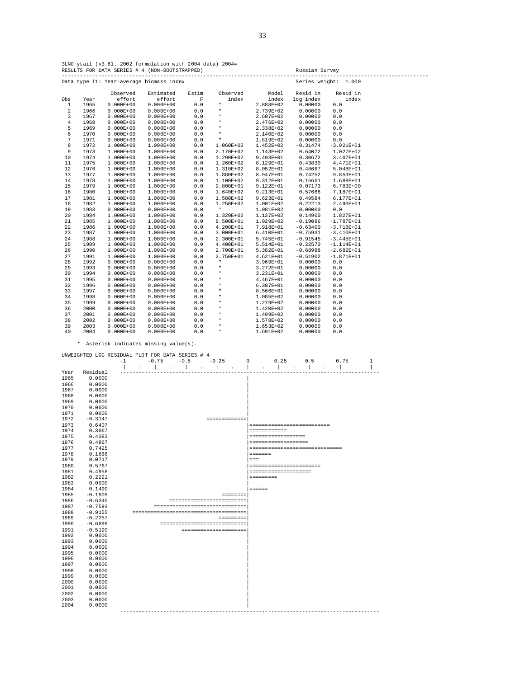3LNO ytail (v3.81, 2002 formulation with 2004 data) 2004= RESULTS FOR DATA SERIES # 4 (NON-BOOTSTRAPPED) Russian Survey -----------------------------------------------------------------------------------------------------------------------

|              |      | Data type I1: Year-average biomass index |               |             |               |               | Series weight: | 1.000          |  |
|--------------|------|------------------------------------------|---------------|-------------|---------------|---------------|----------------|----------------|--|
|              |      | Observed                                 | Estimated     | Estim       | Observed      | Model         | Resid in       | Resid in       |  |
| Obs          | Year | effort                                   | effort        | $\mathbf F$ | index         | index         | log index      | index          |  |
| $\mathbf{1}$ | 1965 | $0.000E + 00$                            | $0.000E + 00$ | 0.0         | $^\star$      | 2.888E+02     | 0.00000        | 0.0            |  |
| 2            | 1966 | $0.000E + 00$                            | $0.000E + 00$ | 0.0         | $\star$       | 2.739E+02     | 0.00000        | $0.0$          |  |
| 3            | 1967 | $0.000E + 00$                            | $0.000E + 00$ | $0.0$       | $\star$       | 2.607E+02     | 0.00000        | 0.0            |  |
| $\bf{4}$     | 1968 | $0.000E + 00$                            | $0.000E + 00$ | 0.0         | $\star$       | 2.476E+02     | 0.00000        | 0.0            |  |
| 5            | 1969 | $0.000E + 00$                            | $0.000E + 00$ | 0.0         | $\star$       | 2.338E+02     | 0.00000        | 0.0            |  |
| 6            | 1970 | $0.000E + 00$                            | $0.000E + 00$ | 0.0         | $\star$       | 2.140E+02     | 0.00000        | $0.0$          |  |
| 7            | 1971 | $0.000E + 00$                            | $0.000E + 00$ | 0.0         | $\star$       | 1.819E+02     | 0.00000        | 0.0            |  |
| 8            | 1972 | $1.000E + 00$                            | 1.000E+00     | 0.0         | 1.060E+02     | $1.452E+02$   | $-0.31474$     | $-3.921E+01$   |  |
| 9            | 1973 | $1.000E + 00$                            | $1.000E + 00$ | 0.0         | 2.170E+02     | 1.143E+02     | 0.64072        | 1.027E+02      |  |
| 10           | 1974 | $1.000E + 00$                            | $1.000E + 00$ | $0.0$       | $1.290E + 02$ | 9.493E+01     | 0.30672        | 3.407E+01      |  |
| 11           | 1975 | $1.000E + 00$                            | 1.000E+00     | 0.0         | $1.260E+02$   | 8.129E+01     | 0.43830        | 4.471E+01      |  |
| 12           | 1976 | $1.000E + 00$                            | 1.000E+00     | 0.0         | $1.310E+02$   | 8.052E+01     | 0.48667        | 5.048E+01      |  |
| 13           | 1977 | $1.000E + 00$                            | 1.000E+00     | 0.0         | 1.880E+02     | 8.947E+01     | 0.74252        | 9.853E+01      |  |
| 14           | 1978 | $1.000E + 00$                            | 1.000E+00     | 0.0         | $1.100E + 02$ | 9.312E+01     | 0.16661        | 1.688E+01      |  |
| 15           | 1979 | $1.000E+00$                              | 1.000E+00     | 0.0         | $9.800E + 01$ | 9.122E+01     | 0.07173        | 6.783E+00      |  |
| 16           | 1980 | $1.000E+00$                              | 1.000E+00     | 0.0         | $1.640E+02$   | 9.213E+01     | 0.57668        | 7.187E+01      |  |
| 17           | 1981 | $1.000E + 00$                            | 1.000E+00     | 0.0         | 1.580E+02     | $9.623E + 01$ | 0.49584        | 6.177E+01      |  |
| 18           | 1982 | $1.000E+00$                              | 1.000E+00     | 0.0         | $1.250E+02$   | 1.001E+02     | 0.22213        | 2.490E+01      |  |
| 19           | 1983 | $0.000E + 00$                            | $0.000E + 00$ | 0.0         | $^\star$      | 1.081E+02     | 0.00000        | 0.0            |  |
| 20           | 1984 | $1.000E+00$                              | 1.000E+00     | 0.0         | 1.320E+02     | 1.137E+02     | 0.14900        | 1.827E+01      |  |
| 21           | 1985 | $1.000E + 00$                            | 1.000E+00     | 0.0         | 8.500E+01     | 1.029E+02     | $-0.19086$     | $-1.787E + 01$ |  |
| 22           | 1986 | $1.000E + 00$                            | 1.000E+00     | 0.0         | $4.200E+01$   | 7.918E+01     | $-0.63400$     | $-3.718E + 01$ |  |
| 23           | 1987 | $1.000E+00$                              | 1.000E+00     | 0.0         | $3.000E + 01$ | $6.410E+01$   | $-0.75931$     | $-3.410E+01$   |  |
| 24           | 1988 | $1.000E + 00$                            | 1.000E+00     | 0.0         | 2.300E+01     | 5.745E+01     | $-0.91545$     | $-3.445E+01$   |  |
| 25           | 1989 | $1.000E+00$                              | 1.000E+00     | 0.0         | 4.400E+01     | 5.514E+01     | $-0.22570$     | $-1.114E+01$   |  |
| 26           | 1990 | $1.000E+00$                              | 1.000E+00     | 0.0         | 2.700E+01     | 5.382E+01     | $-0.68988$     | $-2.682E+01$   |  |
| 27           | 1991 | $1.000E + 00$                            | $1.000E + 00$ | $0.0$       | 2.750E+01     | $4.621E+01$   | $-0.51902$     | $-1.871E+01$   |  |
| 28           | 1992 | $0.000E + 00$                            | $0.000E + 00$ | $0.0$       | $\star$       | 3.969E+01     | 0.00000        | 0.0            |  |
| 29           | 1993 | $0.000E + 00$                            | $0.000E + 00$ | 0.0         | $\star$       | 3.272E+01     | 0.00000        | 0.0            |  |
| 30           | 1994 | $0.000E + 00$                            | $0.000E + 00$ | 0.0         | $\star$       | 3.231E+01     | 0.00000        | 0.0            |  |
| 31           | 1995 | $0.000E + 00$                            | $0.000E + 00$ | 0.0         | $\star$       | 4.467E+01     | 0.00000        | $0.0$          |  |
| 32           | 1996 | $0.000E + 00$                            | $0.000E + 00$ | $0.0$       | $\star$       | $6.307E + 01$ | 0.00000        | 0.0            |  |
| 33           | 1997 | $0.000E + 00$                            | $0.000E + 00$ | 0.0         | $\star$       | 8.566E+01     | 0.00000        | 0.0            |  |
| 34           | 1998 | $0.000E + 00$                            | $0.000E + 00$ | 0.0         | $\star$       | 1.085E+02     | 0.00000        | 0.0            |  |
| 35           | 1999 | $0.000E + 00$                            | $0.000E + 00$ | 0.0         | $\star$       | 1.279E+02     | 0.00000        | 0.0            |  |
| 36           | 2000 | $0.000E + 00$                            | $0.000E + 00$ | 0.0         | $\star$       | 1.420E+02     | 0.00000        | 0.0            |  |
| 37           | 2001 | $0.000E + 00$                            | $0.000E + 00$ | 0.0         | $\star$       | 1.499E+02     | 0.00000        | 0.0            |  |
| 38           | 2002 | $0.000E + 00$                            | $0.000E + 00$ | 0.0         | $\star$       | 1.578E+02     | 0.00000        | 0.0            |  |
| 39           | 2003 | $0.000E + 00$                            | $0.000E + 00$ | 0.0         | $\star$       | $1.653E+02$   | 0.00000        | 0.0            |  |
| 40           | 2004 | $0.000E + 00$                            | $0.000E + 00$ | 0.0         | $\star$       | 1.691E+02     | 0.00000        | 0.0            |  |

| UNWEIGHTED LOG RESIDUAL PLOT FOR DATA SERIES # 4 |           |      |  |         |                                        |        |  |  |  |         |                              |   |                      |      |                                |      |   |
|--------------------------------------------------|-----------|------|--|---------|----------------------------------------|--------|--|--|--|---------|------------------------------|---|----------------------|------|--------------------------------|------|---|
|                                                  |           | $-1$ |  | $-0.75$ |                                        | $-0.5$ |  |  |  | $-0.25$ |                              | 0 |                      | 0.25 | 0.5                            | 0.75 | 1 |
|                                                  |           |      |  |         |                                        |        |  |  |  |         |                              |   |                      |      |                                |      |   |
| Year                                             | Residual  |      |  |         |                                        |        |  |  |  |         |                              |   |                      |      |                                |      |   |
| 1965                                             | 0.0000    |      |  |         |                                        |        |  |  |  |         |                              |   |                      |      |                                |      |   |
| 1966                                             | 0.0000    |      |  |         |                                        |        |  |  |  |         |                              |   |                      |      |                                |      |   |
| 1967                                             | 0.0000    |      |  |         |                                        |        |  |  |  |         |                              |   |                      |      |                                |      |   |
| 1968                                             | 0.0000    |      |  |         |                                        |        |  |  |  |         |                              |   |                      |      |                                |      |   |
| 1969                                             | 0.0000    |      |  |         |                                        |        |  |  |  |         |                              |   |                      |      |                                |      |   |
| 1970                                             | 0.0000    |      |  |         |                                        |        |  |  |  |         |                              |   |                      |      |                                |      |   |
| 1971                                             | 0.0000    |      |  |         |                                        |        |  |  |  |         |                              |   |                      |      |                                |      |   |
| 1972                                             | $-0.3147$ |      |  |         |                                        |        |  |  |  |         | =============                |   |                      |      |                                |      |   |
| 1973                                             | 0.6407    |      |  |         |                                        |        |  |  |  |         |                              |   |                      |      | ==========================     |      |   |
| 1974                                             | 0.3067    |      |  |         |                                        |        |  |  |  |         |                              |   | = ===== ===== =      |      |                                |      |   |
| 1975                                             | 0.4383    |      |  |         |                                        |        |  |  |  |         |                              |   | ------------------   |      |                                |      |   |
| 1976                                             | 0.4867    |      |  |         |                                        |        |  |  |  |         |                              |   | ==================== |      |                                |      |   |
| 1977                                             | 0.7425    |      |  |         |                                        |        |  |  |  |         |                              |   |                      |      | ============================== |      |   |
| 1978                                             | 0.1666    |      |  |         |                                        |        |  |  |  |         |                              |   | <b>ESSESS</b>        |      |                                |      |   |
| 1979                                             | 0.0717    |      |  |         |                                        |        |  |  |  |         |                              |   | $=$ $=$ $=$          |      |                                |      |   |
| 1980                                             | 0.5767    |      |  |         |                                        |        |  |  |  |         |                              |   |                      |      | ======================         |      |   |
| 1981                                             | 0.4958    |      |  |         |                                        |        |  |  |  |         |                              |   | -------------------- |      |                                |      |   |
| 1982                                             | 0.2221    |      |  |         |                                        |        |  |  |  |         |                              |   | $=$ ========         |      |                                |      |   |
| 1983                                             | 0.0000    |      |  |         |                                        |        |  |  |  |         |                              |   |                      |      |                                |      |   |
| 1984                                             | 0.1490    |      |  |         |                                        |        |  |  |  |         |                              |   | $=$ =====            |      |                                |      |   |
| 1985                                             | $-0.1909$ |      |  |         |                                        |        |  |  |  |         | seeseese                     |   |                      |      |                                |      |   |
| 1986                                             | $-0.6340$ |      |  |         |                                        |        |  |  |  |         | -------------------------    |   |                      |      |                                |      |   |
| 1987                                             | $-0.7593$ |      |  |         | -------------------------------        |        |  |  |  |         |                              |   |                      |      |                                |      |   |
| 1988                                             | $-0.9155$ |      |  |         | ====================================== |        |  |  |  |         |                              |   |                      |      |                                |      |   |
| 1989                                             | $-0.2257$ |      |  |         |                                        |        |  |  |  |         | = ===== ===                  |   |                      |      |                                |      |   |
| 1990                                             | $-0.6899$ |      |  |         |                                        |        |  |  |  |         | ---------------------------- |   |                      |      |                                |      |   |
| 1991                                             | $-0.5190$ |      |  |         |                                        |        |  |  |  |         | --------------------         |   |                      |      |                                |      |   |
| 1992                                             | 0.0000    |      |  |         |                                        |        |  |  |  |         |                              |   |                      |      |                                |      |   |
| 1993                                             | 0.0000    |      |  |         |                                        |        |  |  |  |         |                              |   |                      |      |                                |      |   |
| 1994                                             | 0.0000    |      |  |         |                                        |        |  |  |  |         |                              |   |                      |      |                                |      |   |
| 1995                                             | 0.0000    |      |  |         |                                        |        |  |  |  |         |                              |   |                      |      |                                |      |   |
| 1996                                             | 0.0000    |      |  |         |                                        |        |  |  |  |         |                              |   |                      |      |                                |      |   |
| 1997                                             | 0.0000    |      |  |         |                                        |        |  |  |  |         |                              |   |                      |      |                                |      |   |
| 1998                                             | 0.0000    |      |  |         |                                        |        |  |  |  |         |                              |   |                      |      |                                |      |   |
| 1999                                             | 0.0000    |      |  |         |                                        |        |  |  |  |         |                              |   |                      |      |                                |      |   |
| 2000                                             | 0.0000    |      |  |         |                                        |        |  |  |  |         |                              |   |                      |      |                                |      |   |
| 2001                                             | 0.0000    |      |  |         |                                        |        |  |  |  |         |                              |   |                      |      |                                |      |   |
| 2002                                             | 0.0000    |      |  |         |                                        |        |  |  |  |         |                              |   |                      |      |                                |      |   |
| 2003                                             | 0.0000    |      |  |         |                                        |        |  |  |  |         |                              |   |                      |      |                                |      |   |
| 2004                                             | 0.0000    |      |  |         |                                        |        |  |  |  |         |                              |   |                      |      |                                |      |   |
|                                                  |           |      |  |         | ---------------                        |        |  |  |  |         |                              |   |                      |      | --------------                 |      |   |
|                                                  |           |      |  |         |                                        |        |  |  |  |         |                              |   |                      |      |                                |      |   |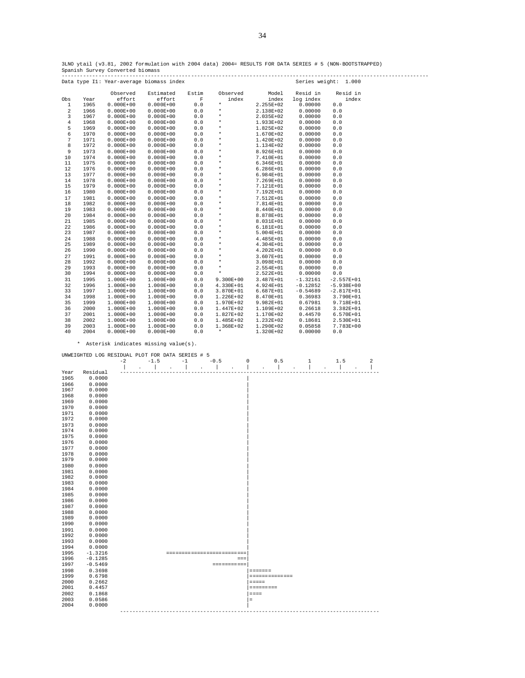3LNO ytail (v3.81, 2002 formulation with 2004 data) 2004= RESULTS FOR DATA SERIES # 5 (NON-BOOTSTRAPPED) Spanish Survey Converted biomass

----------------------------------------------------------------------------------------------------------------------- Data type I1: Year-average biomass index Observed Estimated Estim Observed Model Resid in Resid in Obs Year effort effort F index index log index index 1 1965 0.000E+00 0.000E+00 0.0 \* 2.255E+02 0.00000 0.0  $\begin{array}{cccccccc} 1 & 1965 & 0.000E+00 & 0.000E+00 & 0.0 & * & 2.255E+02 & 0.00000 & 0.0 \\ 2 & 1966 & 0.000E+00 & 0.000E+00 & 0.0 & * & 2.138E+02 & 0.00000 & 0.0 \\ 3 & 1967 & 0.000E+00 & 0.000E+00 & 0.0 & * & 2.035E+02 & 0.00000 & 0.0 \\ 4 & 1968 & 0.000R+00 & 0.$  3 1967 0.000E+00 0.000E+00 0.0 \* 2.035E+02 0.00000 0.0  $\begin{array}{ccccccccccc} 4 & 1968 & 0.00021 & 0 & 0.00021 & 0.00 & 0.00 & * & 1.933E+02 & 0.00000 & 0.0 & 0.0000 & 0.0000 & 0.0000 & 0.0000 & 0.0000 & 0.0000 & 0.0000 & 0.0000 & 0.0000 & 0.0000 & 0.0000 & 0.0000 & 0.0000 & 0.0000 & 0.0000 & 0.0000 & 0.0000 & 0.000$  5 1969 0.000E+00 0.000E+00 0.0 \* 1.825E+02 0.00000 0.0 6 1970 0.000E+00 0.000E+00 0.0 \* 1.670E+02 0.00000 0.0 7 1971 0.000E+00 0.000E+00 0.0 \* 1.420E+02 0.00000 0.0 8 1972 0.000E+00 0.000E+00 0.0 \* 1.134E+02 0.00000 0.0  $\begin{array}{cccccccc} 9 & 1973 & 0.000E+00 & 0.000E+00 & 0.0 & * & 8.926E+01 & 0.00000 & 0.0 \\ 10 & 1974 & 0.000B+00 & 0.000E+00 & 0.0 & * & 7.410E+01 & 0.00000 & 0.0 \\ 11 & 1975 & 0.000E+00 & 0.000E+00 & 0.0 & * & 6.346E+01 & 0.00000 & 0.0 \end{array}$  10 1974 0.000E+00 0.000E+00 0.0 \* 7.410E+01 0.00000 0.0 11 1975 0.000E+00 0.000E+00 0.0 \* 6.346E+01 0.00000 0.0 12 1976 0.000E+00 0.000E+00 0.0 \* 6.286E+01 0.00000 0.0 13 1977 0.000E+00 0.000E+00 0.0 \* 6.984E+01 0.00000 0.0 14 1978 0.000E+00 0.000E+00 0.0 \* 7.269E+01 0.00000 0.0 15 1979 0.000E+00 0.000E+00 0.0 \* 7.121E+01 0.00000 0.0 16 1980 0.000E+00 0.000E+00 0.0<br>16 1980 0.000E+00 0.000E+00 0.0 \* 7.192E+01 0.00000 0.0<br>17 1981 0.000E+00 0.000E+00 0.0 \* 7.512E+01 0.00000 0.0 17 1981 0.000E+00 0.000E+00 0.0 \* 7.512E+01 0.00000 0.0 18 1982 0.000E+00 0.000E+00 0.0<br>18 1982 0.000E+00 0.000E+00 0.0 \* 7.814E+01 0.00000 0.0<br>19 1983 0.000E+00 0.000E+00 0.0 \* 8.440E+01 0.00000 0.0 19 1983 0.000E+00 0.000E+00 0.0 \* 8.440E+01 0.00000 0.0 20 1984 0.000E+00 0.000E+00 0.0 \* 8.878E+01 0.00000 0.0 21 1985 0.000E+00 0.000E+00 0.00 \* 0.000E+01 0.00000 0.0<br>22 1986 0.000E+00 0.000E+00 0.0 \* 8.031E+01 0.00000 0.0<br>23 1987 0.000E+00 0.000E+00 0.0 \* 5.004E+01 0.00000 0.0 22 1986 0.000E+00 0.000E+00 0.0 \* 6.181E+01 0.00000 0.0 23 1987 0.000E+00 0.000E+00 0.0 \* 5.004E+01 0.00000 0.0 24 1988 0.000E+00 0.000E+00 0.0 \* 4.485E+01 0.00000 0.0 25 1989 0.000E+00 0.000E+00 0.0 \* 4.304E+01 0.00000 0.0 26 1990 0.000E+00 0.000E+00 0.0 \* 4.202E+01 0.00000 0.0 27 1991 0.000E+00 0.000E+00 0.0 \* 3.607E+01 0.00000 0.0 28 1992 0.000E+00 0.000E+00 0.0 \* 3.098E+01 0.00000 0.0 29 1993 0.000E+00 0.000E+00 0.0 \* 2.554E+01 0.00000 0.0 30 1994 0.000E+00 0.000E+00 0.0 \* 2.522E+01 0.00000 0.0 31 1995 1.000E+00 1.000E+00 0.0 9.300E+00 3.487E+01 -1.32161 -2.557E+01 32 1996 1.000E+00 1.000E+00 0.0 4.330E+01 4.924E+01 -0.12852 -5.938E+00 33 1997 1.000E+00 1.000E+00 0.0 3.870E+01 6.687E+01 -0.54689 -2.817E+01 34 1998 1.000E+00 1.000E+00 0.0 1.226E+02 8.470E+01 0.36983 3.790E+01 35 1999 1.000E+00 1.000E+00 0.0 1.970E+02 9.982E+01 0.67981 9.718E+01 36 2000 1.000E+00 1.000E+00 0.0 1.447E+02 1.109E+02 0.26618 3.382E+01 37 2001 1.000E+00 1.000E+00 0.0 1.827E+02 1.170E+02 0.44570 6.570E+01 1.000E+00 1.000E+00 0.0 1.485E+02 1.232E+02 0.18681 2.530E+01<br>1.000E+00 1.000E+00 0.0 1.368E+02 1.290E+02 0.05858 7.783E+00  $\begin{array}{cccccccc} 39 & 2003 & 1.000\text{E+00} & 1.000\text{E+00} & 0.0 & 1.368\text{E+02} & 1.290\text{E+02} & 0.05858 & 7.7\ 40 & 2004 & 0.000\text{E+00} & 0.00\text{E+00} & 0.0 & * & 1.320\text{E+02} & 0.00000 & 0.0 \end{array}$  $0.000E+0.0$ 

| UNWEIGHTED LOG RESIDUAL PLOT FOR DATA SERIES # 5 |           |      |        |  |                           |                      |        |  |                  |                    |           |                   |              |     |   |
|--------------------------------------------------|-----------|------|--------|--|---------------------------|----------------------|--------|--|------------------|--------------------|-----------|-------------------|--------------|-----|---|
|                                                  |           | $-2$ | $-1.5$ |  | $-1$                      |                      | $-0.5$ |  |                  | 0                  |           | 0.5               | $\mathbf{1}$ | 1.5 | 2 |
|                                                  |           |      |        |  |                           | $\ddot{\phantom{a}}$ |        |  |                  |                    |           |                   |              |     |   |
| Year                                             | Residual  |      |        |  |                           |                      |        |  |                  |                    |           |                   |              |     |   |
| 1965                                             | 0.0000    |      |        |  |                           |                      |        |  |                  |                    |           |                   |              |     |   |
| 1966                                             | 0.0000    |      |        |  |                           |                      |        |  |                  |                    |           |                   |              |     |   |
| 1967                                             | 0.0000    |      |        |  |                           |                      |        |  |                  |                    |           |                   |              |     |   |
| 1968                                             | 0.0000    |      |        |  |                           |                      |        |  |                  |                    |           |                   |              |     |   |
| 1969                                             | 0.0000    |      |        |  |                           |                      |        |  |                  |                    |           |                   |              |     |   |
| 1970                                             | 0.0000    |      |        |  |                           |                      |        |  |                  |                    |           |                   |              |     |   |
| 1971                                             | 0.0000    |      |        |  |                           |                      |        |  |                  |                    |           |                   |              |     |   |
| 1972                                             | 0.0000    |      |        |  |                           |                      |        |  |                  |                    |           |                   |              |     |   |
| 1973                                             | 0.0000    |      |        |  |                           |                      |        |  |                  |                    |           |                   |              |     |   |
| 1974                                             | 0.0000    |      |        |  |                           |                      |        |  |                  |                    |           |                   |              |     |   |
| 1975                                             | 0.0000    |      |        |  |                           |                      |        |  |                  |                    |           |                   |              |     |   |
| 1976                                             | 0.0000    |      |        |  |                           |                      |        |  |                  |                    |           |                   |              |     |   |
| 1977                                             | 0.0000    |      |        |  |                           |                      |        |  |                  |                    |           |                   |              |     |   |
| 1978                                             | 0.0000    |      |        |  |                           |                      |        |  |                  |                    |           |                   |              |     |   |
| 1979                                             | 0.0000    |      |        |  |                           |                      |        |  |                  |                    |           |                   |              |     |   |
| 1980                                             | 0.0000    |      |        |  |                           |                      |        |  |                  |                    |           |                   |              |     |   |
| 1981                                             | 0.0000    |      |        |  |                           |                      |        |  |                  |                    |           |                   |              |     |   |
| 1982                                             | 0.0000    |      |        |  |                           |                      |        |  |                  |                    |           |                   |              |     |   |
| 1983                                             | 0.0000    |      |        |  |                           |                      |        |  |                  |                    |           |                   |              |     |   |
| 1984                                             | 0.0000    |      |        |  |                           |                      |        |  |                  |                    |           |                   |              |     |   |
| 1985                                             | 0.0000    |      |        |  |                           |                      |        |  |                  |                    |           |                   |              |     |   |
| 1986                                             | 0.0000    |      |        |  |                           |                      |        |  |                  |                    |           |                   |              |     |   |
| 1987                                             | 0.0000    |      |        |  |                           |                      |        |  |                  |                    |           |                   |              |     |   |
| 1988                                             | 0.0000    |      |        |  |                           |                      |        |  |                  |                    |           |                   |              |     |   |
| 1989                                             | 0.0000    |      |        |  |                           |                      |        |  |                  |                    |           |                   |              |     |   |
| 1990                                             | 0.0000    |      |        |  |                           |                      |        |  |                  |                    |           |                   |              |     |   |
| 1991                                             | 0.0000    |      |        |  |                           |                      |        |  |                  |                    |           |                   |              |     |   |
| 1992                                             | 0.0000    |      |        |  |                           |                      |        |  |                  |                    |           |                   |              |     |   |
| 1993                                             | 0.0000    |      |        |  |                           |                      |        |  |                  |                    |           |                   |              |     |   |
| 1994                                             | 0.0000    |      |        |  |                           |                      |        |  |                  |                    |           |                   |              |     |   |
| 1995                                             | $-1.3216$ |      |        |  | ------------------------- |                      |        |  |                  |                    |           |                   |              |     |   |
| 1996                                             | $-0.1285$ |      |        |  |                           |                      |        |  | $=$ $=$ $=$      |                    |           |                   |              |     |   |
| 1997                                             | $-0.5469$ |      |        |  |                           |                      |        |  | <b>COORDINGS</b> |                    |           |                   |              |     |   |
| 1998                                             | 0.3698    |      |        |  |                           |                      |        |  |                  |                    | -------   |                   |              |     |   |
| 1999                                             | 0.6798    |      |        |  |                           |                      |        |  |                  |                    |           | = ===== ===== === |              |     |   |
| 2000                                             | 0.2662    |      |        |  |                           |                      |        |  |                  | $=$ $=$ $=$ $=$    |           |                   |              |     |   |
| 2001                                             | 0.4457    |      |        |  |                           |                      |        |  |                  |                    | ========= |                   |              |     |   |
| 2002                                             | 0.1868    |      |        |  |                           |                      |        |  |                  | $= \, = \, = \, =$ |           |                   |              |     |   |
| 2003                                             | 0.0586    |      |        |  |                           |                      |        |  |                  | $\equiv$           |           |                   |              |     |   |
| 2004                                             | 0.0000    |      |        |  |                           |                      |        |  |                  |                    |           |                   |              |     |   |
|                                                  |           |      |        |  |                           |                      |        |  |                  |                    |           |                   |              |     |   |
|                                                  |           |      |        |  |                           |                      |        |  |                  |                    |           |                   |              |     |   |